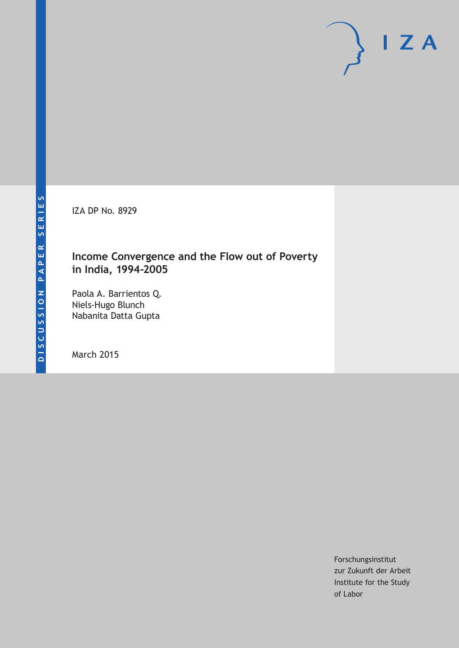IZA DP No. 8929

# **Income Convergence and the Flow out of Poverty in India, 1994-2005**

Paola A. Barrientos Q. Niels-Hugo Blunch Nabanita Datta Gupta

March 2015

Forschungsinstitut zur Zukunft der Arbeit Institute for the Study of Labor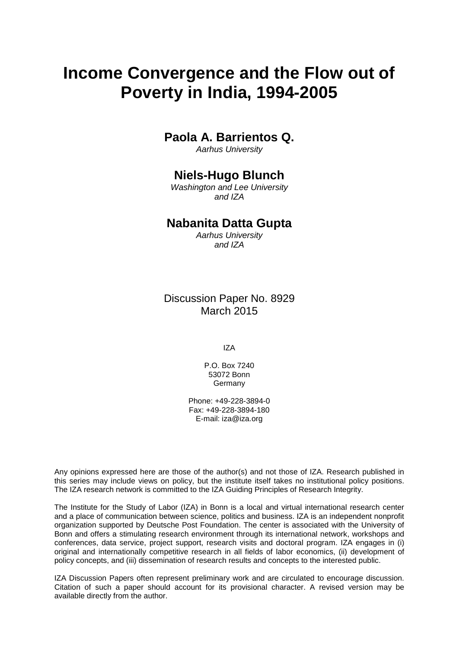# **Income Convergence and the Flow out of Poverty in India, 1994-2005**

# **Paola A. Barrientos Q.**

*Aarhus University*

# **Niels-Hugo Blunch**

*Washington and Lee University and IZA*

# **Nabanita Datta Gupta**

*Aarhus University and IZA*

Discussion Paper No. 8929 March 2015

IZA

P.O. Box 7240 53072 Bonn **Germany** 

Phone: +49-228-3894-0 Fax: +49-228-3894-180 E-mail: iza@iza.org

Any opinions expressed here are those of the author(s) and not those of IZA. Research published in this series may include views on policy, but the institute itself takes no institutional policy positions. The IZA research network is committed to the IZA Guiding Principles of Research Integrity.

<span id="page-1-0"></span>The Institute for the Study of Labor (IZA) in Bonn is a local and virtual international research center and a place of communication between science, politics and business. IZA is an independent nonprofit organization supported by Deutsche Post Foundation. The center is associated with the University of Bonn and offers a stimulating research environment through its international network, workshops and conferences, data service, project support, research visits and doctoral program. IZA engages in (i) original and internationally competitive research in all fields of labor economics, (ii) development of policy concepts, and (iii) dissemination of research results and concepts to the interested public.

IZA Discussion Papers often represent preliminary work and are circulated to encourage discussion. Citation of such a paper should account for its provisional character. A revised version may be available directly from the author.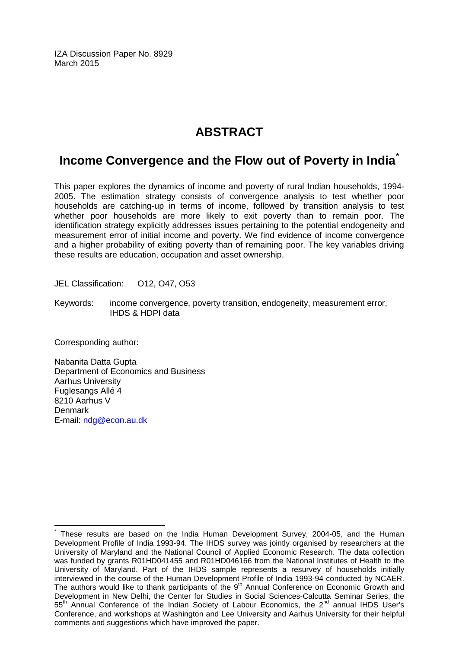IZA Discussion Paper No. 8929 March 2015

# **ABSTRACT**

# **Income Convergence and the Flow out of Poverty in India[\\*](#page-1-0)**

This paper explores the dynamics of income and poverty of rural Indian households, 1994- 2005. The estimation strategy consists of convergence analysis to test whether poor households are catching-up in terms of income, followed by transition analysis to test whether poor households are more likely to exit poverty than to remain poor. The identification strategy explicitly addresses issues pertaining to the potential endogeneity and measurement error of initial income and poverty. We find evidence of income convergence and a higher probability of exiting poverty than of remaining poor. The key variables driving these results are education, occupation and asset ownership.

JEL Classification: O12, O47, O53

Keywords: income convergence, poverty transition, endogeneity, measurement error, IHDS & HDPI data

Corresponding author:

Nabanita Datta Gupta Department of Economics and Business Aarhus University Fuglesangs Allé 4 8210 Aarhus V Denmark E-mail: [ndg@econ.au.dk](mailto:ndg@econ.au.dk)

These results are based on the India Human Development Survey, 2004-05, and the Human Development Profile of India 1993-94. The IHDS survey was jointly organised by researchers at the University of Maryland and the National Council of Applied Economic Research. The data collection was funded by grants R01HD041455 and R01HD046166 from the National Institutes of Health to the University of Maryland. Part of the IHDS sample represents a resurvey of households initially interviewed in the course of the Human Development Profile of India 1993-94 conducted by NCAER. The authors would like to thank participants of the 9<sup>th</sup> Annual Conference on Economic Growth and Development in New Delhi, the Center for Studies in Social Sciences-Calcutta Seminar Series, the 55<sup>th</sup> Annual Conference of the Indian Society of Labour Economics, the 2<sup>nd</sup> annual IHDS User's Conference, and workshops at Washington and Lee University and Aarhus University for their helpful comments and suggestions which have improved the paper.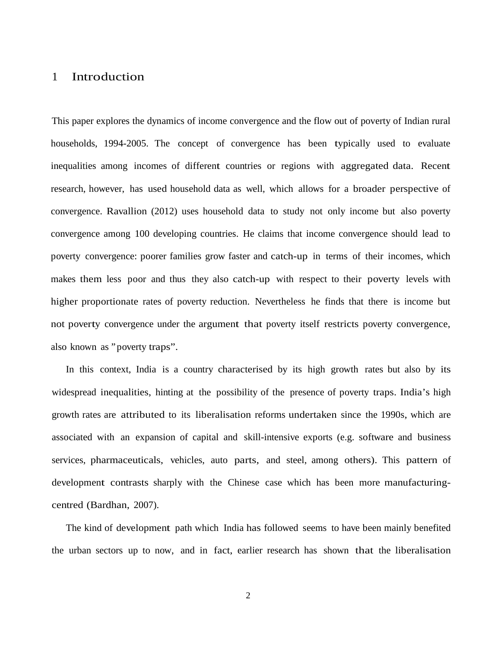### 1 Introduction

This paper explores the dynamics of income convergence and the flow out of poverty of Indian rural households, 1994-2005. The concept of convergence has been typically used to evaluate inequalities among incomes of different countries or regions with aggregated data. Recent research, however, has used household data as well, which allows for a broader perspective of convergence. Ravallion (2012) uses household data to study not only income but also poverty convergence among 100 developing countries. He claims that income convergence should lead to poverty convergence: poorer families grow faster and catch-up in terms of their incomes, which makes them less poor and thus they also catch-up with respect to their poverty levels with higher proportionate rates of poverty reduction. Nevertheless he finds that there is income but not poverty convergence under the argument that poverty itself restricts poverty convergence, also known as "poverty traps".

In this context, India is a country characterised by its high growth rates but also by its widespread inequalities, hinting at the possibility of the presence of poverty traps. India's high growth rates are attributed to its liberalisation reforms undertaken since the 1990s, which are associated with an expansion of capital and skill-intensive exports (e.g. software and business services, pharmaceuticals, vehicles, auto parts, and steel, among others). This pattern of development contrasts sharply with the Chinese case which has been more manufacturingcentred (Bardhan, 2007).

The kind of development path which India has followed seems to have been mainly benefited the urban sectors up to now, and in fact, earlier research has shown that the liberalisation

2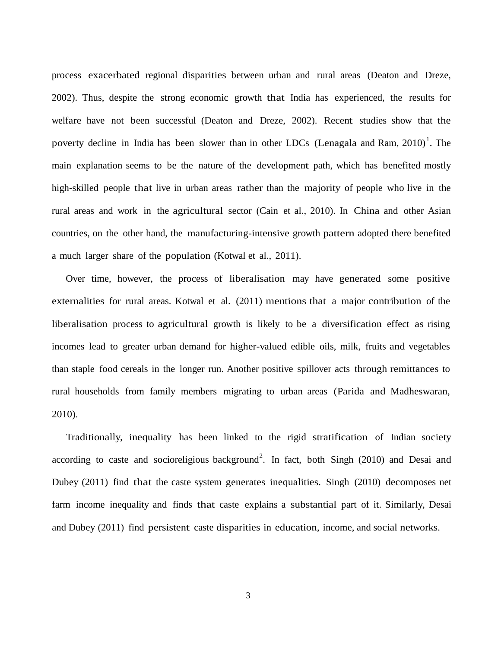process exacerbated regional disparities between urban and rural areas (Deaton and Dreze, 2002). Thus, despite the strong economic growth that India has experienced, the results for welfare have not been successful (Deaton and Dreze, 2002). Recent studies show that the poverty decline in India has been slower than in other LDCs (Lenagala and Ram,  $2010$  $2010$  $2010$ )<sup>1</sup>. The main explanation seems to be the nature of the development path, which has benefited mostly high-skilled people that live in urban areas rather than the majority of people who live in the rural areas and work in the agricultural sector (Cain et al., 2010). In China and other Asian countries, on the other hand, the manufacturing-intensive growth pattern adopted there benefited a much larger share of the population (Kotwal et al., 2011).

Over time, however, the process of liberalisation may have generated some positive externalities for rural areas. Kotwal et al. (2011) mentions that a major contribution of the liberalisation process to agricultural growth is likely to be a diversification effect as rising incomes lead to greater urban demand for higher-valued edible oils, milk, fruits and vegetables than staple food cereals in the longer run. Another positive spillover acts through remittances to rural households from family members migrating to urban areas (Parida and Madheswaran, 2010).

Traditionally, inequality has been linked to the rigid stratification of Indian society according to caste and socioreligious background<sup>[2](#page-42-1)</sup>. In fact, both Singh (2010) and Desai and Dubey (2011) find that the caste system generates inequalities. Singh (2010) decomposes net farm income inequality and finds that caste explains a substantial part of it. Similarly, Desai and Dubey (2011) find persistent caste disparities in education, income, and social networks.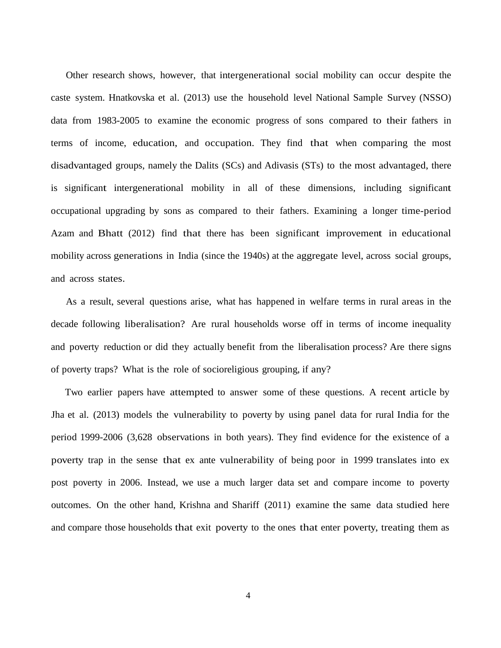Other research shows, however, that intergenerational social mobility can occur despite the caste system. Hnatkovska et al. (2013) use the household level National Sample Survey (NSSO) data from 1983-2005 to examine the economic progress of sons compared to their fathers in terms of income, education, and occupation. They find that when comparing the most disadvantaged groups, namely the Dalits (SCs) and Adivasis (STs) to the most advantaged, there is significant intergenerational mobility in all of these dimensions, including significant occupational upgrading by sons as compared to their fathers. Examining a longer time-period Azam and Bhatt (2012) find that there has been significant improvement in educational mobility across generations in India (since the 1940s) at the aggregate level, across social groups, and across states.

As a result, several questions arise, what has happened in welfare terms in rural areas in the decade following liberalisation? Are rural households worse off in terms of income inequality and poverty reduction or did they actually benefit from the liberalisation process? Are there signs of poverty traps? What is the role of socioreligious grouping, if any?

Two earlier papers have attempted to answer some of these questions. A recent article by Jha et al. (2013) models the vulnerability to poverty by using panel data for rural India for the period 1999-2006 (3,628 observations in both years). They find evidence for the existence of a poverty trap in the sense that ex ante vulnerability of being poor in 1999 translates into ex post poverty in 2006. Instead, we use a much larger data set and compare income to poverty outcomes. On the other hand, Krishna and Shariff (2011) examine the same data studied here and compare those households that exit poverty to the ones that enter poverty, treating them as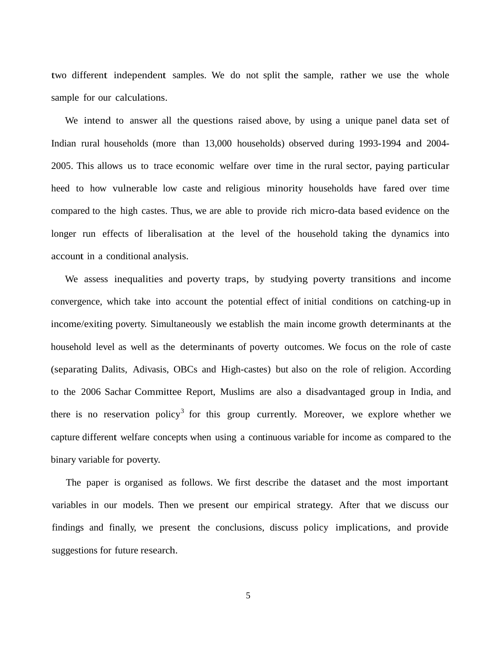two different independent samples. We do not split the sample, rather we use the whole sample for our calculations.

We intend to answer all the questions raised above, by using a unique panel data set of Indian rural households (more than 13,000 households) observed during 1993-1994 and 2004- 2005. This allows us to trace economic welfare over time in the rural sector, paying particular heed to how vulnerable low caste and religious minority households have fared over time compared to the high castes. Thus, we are able to provide rich micro-data based evidence on the longer run effects of liberalisation at the level of the household taking the dynamics into account in a conditional analysis.

We assess inequalities and poverty traps, by studying poverty transitions and income convergence, which take into account the potential effect of initial conditions on catching-up in income/exiting poverty. Simultaneously we establish the main income growth determinants at the household level as well as the determinants of poverty outcomes. We focus on the role of caste (separating Dalits, Adivasis, OBCs and High-castes) but also on the role of religion. According to the 2006 Sachar Committee Report, Muslims are also a disadvantaged group in India, and there is no reservation policy<sup>[3](#page-42-2)</sup> for this group currently. Moreover, we explore whether we capture different welfare concepts when using a continuous variable for income as compared to the binary variable for poverty.

The paper is organised as follows. We first describe the dataset and the most important variables in our models. Then we present our empirical strategy. After that we discuss our findings and finally, we present the conclusions, discuss policy implications, and provide suggestions for future research.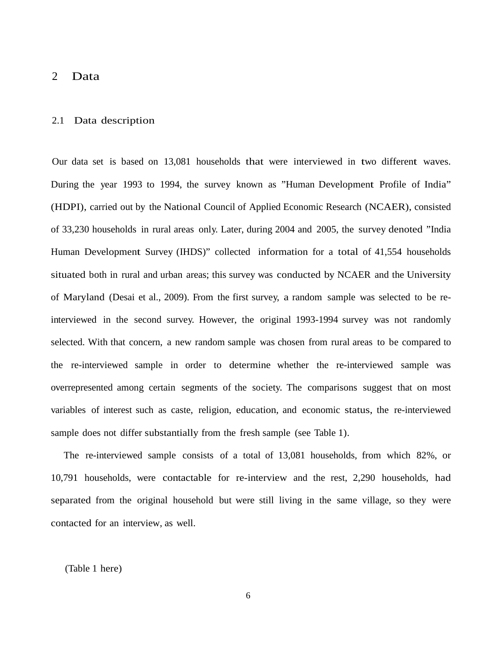#### 2 Data

#### 2.1 Data description

Our data set is based on 13,081 households that were interviewed in two different waves. During the year 1993 to 1994, the survey known as "Human Development Profile of India" (HDPI), carried out by the National Council of Applied Economic Research (NCAER), consisted of 33,230 households in rural areas only. Later, during 2004 and 2005, the survey denoted "India Human Development Survey (IHDS)" collected information for a total of 41,554 households situated both in rural and urban areas; this survey was conducted by NCAER and the University of Maryland (Desai et al., 2009). From the first survey, a random sample was selected to be reinterviewed in the second survey. However, the original 1993-1994 survey was not randomly selected. With that concern, a new random sample was chosen from rural areas to be compared to the re-interviewed sample in order to determine whether the re-interviewed sample was overrepresented among certain segments of the society. The comparisons suggest that on most variables of interest such as caste, religion, education, and economic status, the re-interviewed sample does not differ substantially from the fresh sample (see Table 1).

The re-interviewed sample consists of a total of 13,081 households, from which 82%, or 10,791 households, were contactable for re-interview and the rest, 2,290 households, had separated from the original household but were still living in the same village, so they were contacted for an interview, as well.

(Table 1 here)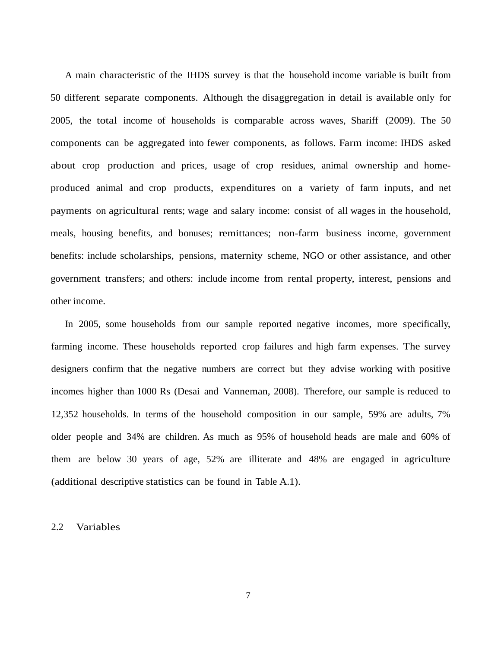A main characteristic of the IHDS survey is that the household income variable is built from 50 different separate components. Although the disaggregation in detail is available only for 2005, the total income of households is comparable across waves, Shariff (2009). The 50 components can be aggregated into fewer components, as follows. Farm income: IHDS asked about crop production and prices, usage of crop residues, animal ownership and homeproduced animal and crop products, expenditures on a variety of farm inputs, and net payments on agricultural rents; wage and salary income: consist of all wages in the household, meals, housing benefits, and bonuses; remittances; non-farm business income, government benefits: include scholarships, pensions, maternity scheme, NGO or other assistance, and other government transfers; and others: include income from rental property, interest, pensions and other income.

In 2005, some households from our sample reported negative incomes, more specifically, farming income. These households reported crop failures and high farm expenses. The survey designers confirm that the negative numbers are correct but they advise working with positive incomes higher than 1000 Rs (Desai and Vanneman, 2008). Therefore, our sample is reduced to 12,352 households. In terms of the household composition in our sample, 59% are adults, 7% older people and 34% are children. As much as 95% of household heads are male and 60% of them are below 30 years of age, 52% are illiterate and 48% are engaged in agriculture (additional descriptive statistics can be found in Table A.1).

#### 2.2 Variables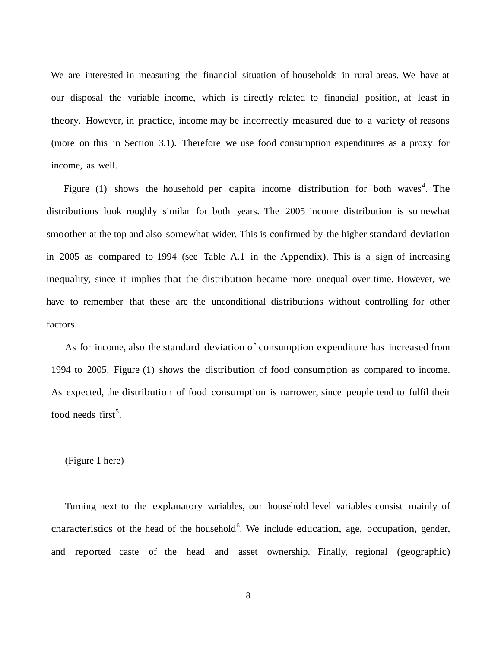We are interested in measuring the financial situation of households in rural areas. We have at our disposal the variable income, which is directly related to financial position, at least in theory. However, in practice, income may be incorrectly measured due to a variety of reasons (more on this in Section 3.1). Therefore we use food consumption expenditures as a proxy for income, as well.

Figure (1) shows the household per capita income distribution for both waves<sup>[4](#page-42-3)</sup>. The distributions look roughly similar for both years. The 2005 income distribution is somewhat smoother at the top and also somewhat wider. This is confirmed by the higher standard deviation in 2005 as compared to 1994 (see Table A.1 in the Appendix). This is a sign of increasing inequality, since it implies that the distribution became more unequal over time. However, we have to remember that these are the unconditional distributions without controlling for other factors.

As for income, also the standard deviation of consumption expenditure has increased from 1994 to 2005. Figure (1) shows the distribution of food consumption as compared to income. As expected, the distribution of food consumption is narrower, since people tend to fulfil their food needs first<sup>[5](#page-42-4)</sup>.

#### (Figure 1 here)

Turning next to the explanatory variables, our household level variables consist mainly of characteristics of the head of the household<sup>[6](#page-42-5)</sup>. We include education, age, occupation, gender, and reported caste of the head and asset ownership. Finally, regional (geographic)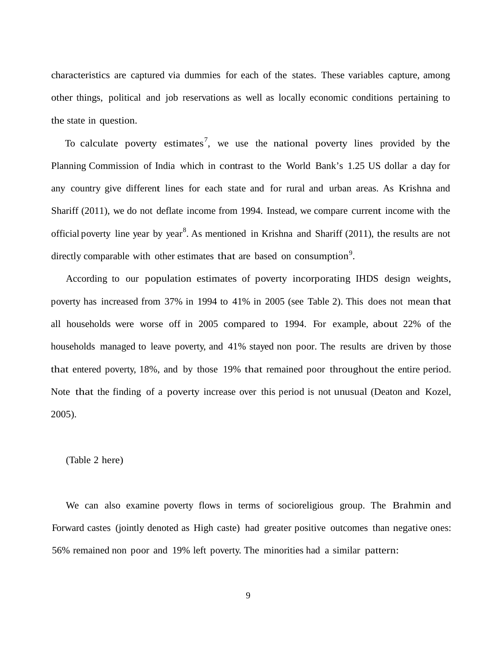characteristics are captured via dummies for each of the states. These variables capture, among other things, political and job reservations as well as locally economic conditions pertaining to the state in question.

To calculate poverty estimates<sup>[7](#page-42-6)</sup>, we use the national poverty lines provided by the Planning Commission of India which in contrast to the World Bank's 1.25 US dollar a day for any country give different lines for each state and for rural and urban areas. As Krishna and Shariff (2011), we do not deflate income from 1994. Instead, we compare current income with the official poverty line year by year<sup>[8](#page-43-0)</sup>. As mentioned in Krishna and Shariff (2011), the results are not directly comparable with other estimates that are based on consumption<sup>[9](#page-43-1)</sup>.

According to our population estimates of poverty incorporating IHDS design weights, poverty has increased from 37% in 1994 to 41% in 2005 (see Table 2). This does not mean that all households were worse off in 2005 compared to 1994. For example, about 22% of the households managed to leave poverty, and 41% stayed non poor. The results are driven by those that entered poverty, 18%, and by those 19% that remained poor throughout the entire period. Note that the finding of a poverty increase over this period is not unusual (Deaton and Kozel, 2005).

(Table 2 here)

We can also examine poverty flows in terms of socioreligious group. The Brahmin and Forward castes (jointly denoted as High caste) had greater positive outcomes than negative ones: 56% remained non poor and 19% left poverty. The minorities had a similar pattern: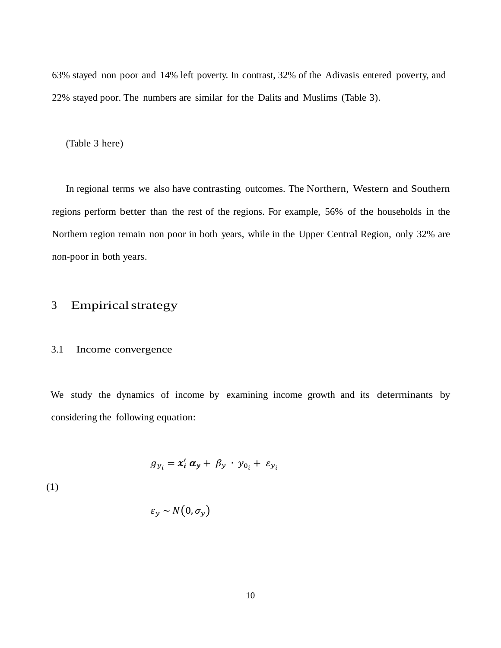63% stayed non poor and 14% left poverty. In contrast, 32% of the Adivasis entered poverty, and 22% stayed poor. The numbers are similar for the Dalits and Muslims (Table 3).

(Table 3 here)

In regional terms we also have contrasting outcomes. The Northern, Western and Southern regions perform better than the rest of the regions. For example, 56% of the households in the Northern region remain non poor in both years, while in the Upper Central Region, only 32% are non-poor in both years.

# 3 Empiricalstrategy

#### 3.1 Income convergence

We study the dynamics of income by examining income growth and its determinants by considering the following equation:

$$
g_{y_i} = x'_i \alpha_y + \beta_y \cdot y_{0_i} + \varepsilon_{y_i}
$$

(1)

$$
\varepsilon_{y} \sim N(0, \sigma_{y})
$$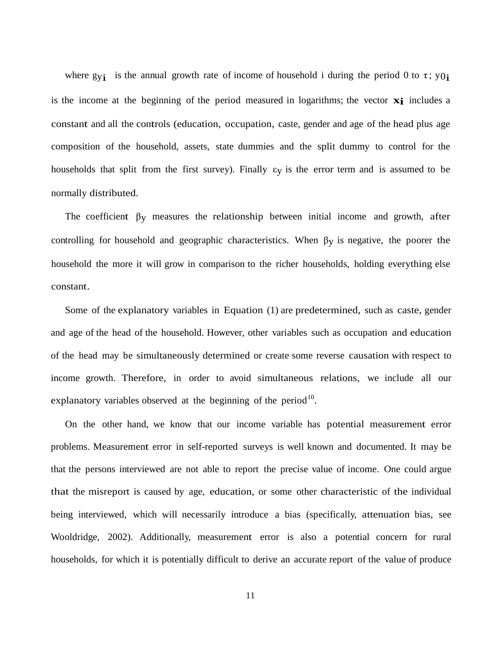where gy<sub>i</sub> is the annual growth rate of income of household i during the period 0 to  $\tau$ ; y<sub>0</sub><sup>i</sup> is the income at the beginning of the period measured in logarithms; the vector **xi** includes a constant and all the controls (education, occupation, caste, gender and age of the head plus age composition of the household, assets, state dummies and the split dummy to control for the households that split from the first survey). Finally  $\varepsilon$ y is the error term and is assumed to be normally distributed.

The coefficient  $\beta$ <sub>V</sub> measures the relationship between initial income and growth, after controlling for household and geographic characteristics. When βy is negative, the poorer the household the more it will grow in comparison to the richer households, holding everything else constant.

Some of the explanatory variables in Equation (1) are predetermined, such as caste, gender and age of the head of the household. However, other variables such as occupation and education of the head may be simultaneously determined or create some reverse causation with respect to income growth. Therefore, in order to avoid simultaneous relations, we include all our explanatory variables observed at the beginning of the period<sup>[10](#page-43-2)</sup>.

On the other hand, we know that our income variable has potential measurement error problems. Measurement error in self-reported surveys is well known and documented. It may be that the persons interviewed are not able to report the precise value of income. One could argue that the misreport is caused by age, education, or some other characteristic of the individual being interviewed, which will necessarily introduce a bias (specifically, attenuation bias, see Wooldridge, 2002). Additionally, measurement error is also a potential concern for rural households, for which it is potentially difficult to derive an accurate report of the value of produce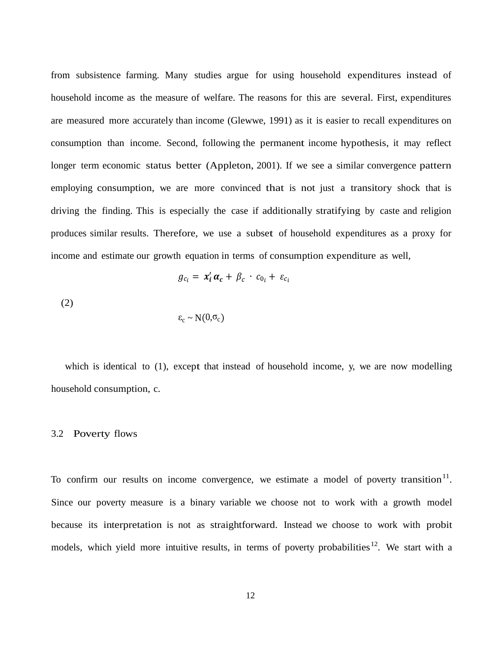from subsistence farming. Many studies argue for using household expenditures instead of household income as the measure of welfare. The reasons for this are several. First, expenditures are measured more accurately than income (Glewwe, 1991) as it is easier to recall expenditures on consumption than income. Second, following the permanent income hypothesis, it may reflect longer term economic status better (Appleton, 2001). If we see a similar convergence pattern employing consumption, we are more convinced that is not just a transitory shock that is driving the finding. This is especially the case if additionally stratifying by caste and religion produces similar results. Therefore, we use a subset of household expenditures as a proxy for income and estimate our growth equation in terms of consumption expenditure as well,

$$
g_{c_i} = x'_i \alpha_c + \beta_c \cdot c_{0_i} + \varepsilon_{c_i}
$$

(2)

$$
\varepsilon_{\rm c} \sim N(0,\sigma_{\rm c})
$$

which is identical to (1), except that instead of household income, y, we are now modelling household consumption, c.

#### 3.2 Poverty flows

To confirm our results on income convergence, we estimate a model of poverty transition<sup>[11](#page-43-3)</sup>. Since our poverty measure is a binary variable we choose not to work with a growth model because its interpretation is not as straightforward. Instead we choose to work with probit models, which yield more intuitive results, in terms of poverty probabilities<sup>12</sup>. We start with a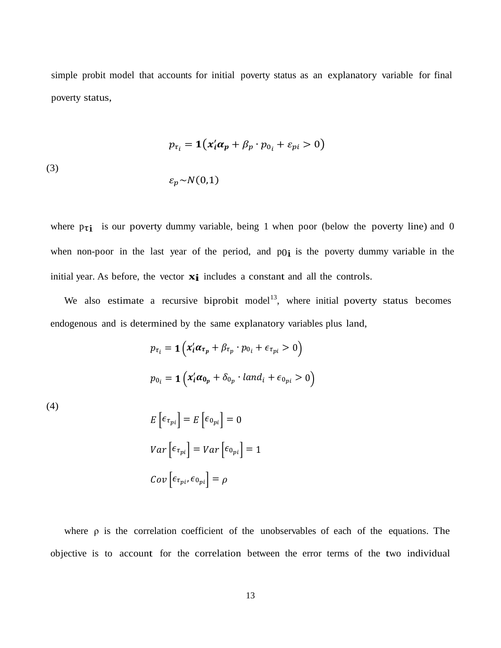simple probit model that accounts for initial poverty status as an explanatory variable for final poverty status,

$$
p_{\tau_i} = \mathbf{1}(x_i' \alpha_p + \beta_p \cdot p_{0_i} + \varepsilon_{pi} > 0)
$$

(3)

$$
\varepsilon_p \sim N(0,1)
$$

where  $p_{\tau i}$  is our poverty dummy variable, being 1 when poor (below the poverty line) and 0 when non-poor in the last year of the period, and  $p_0$  is the poverty dummy variable in the initial year. As before, the vector **xi** includes <sup>a</sup> constant and all the controls.

We also estimate a recursive biprobit model<sup>13</sup>, where initial poverty status becomes endogenous and is determined by the same explanatory variables plus land,

$$
p_{\tau_i} = \mathbf{1} \left( x_i' \alpha_{\tau_p} + \beta_{\tau_p} \cdot p_{0_i} + \epsilon_{\tau_{pi}} > 0 \right)
$$
  

$$
p_{0_i} = \mathbf{1} \left( x_i' \alpha_{0_p} + \delta_{0_p} \cdot \text{land}_i + \epsilon_{0_{pi}} > 0 \right)
$$

(4)

$$
E\left[\epsilon_{\tau_{pi}}\right] = E\left[\epsilon_{0_{pi}}\right] = 0
$$

$$
Var\left[\epsilon_{\tau_{pi}}\right] = Var\left[\epsilon_{0_{pi}}\right] = 1
$$

$$
Cov\left[\epsilon_{\tau_{pi}}, \epsilon_{0_{pi}}\right] = \rho
$$

where  $\rho$  is the correlation coefficient of the unobservables of each of the equations. The objective is to account for the correlation between the error terms of the two individual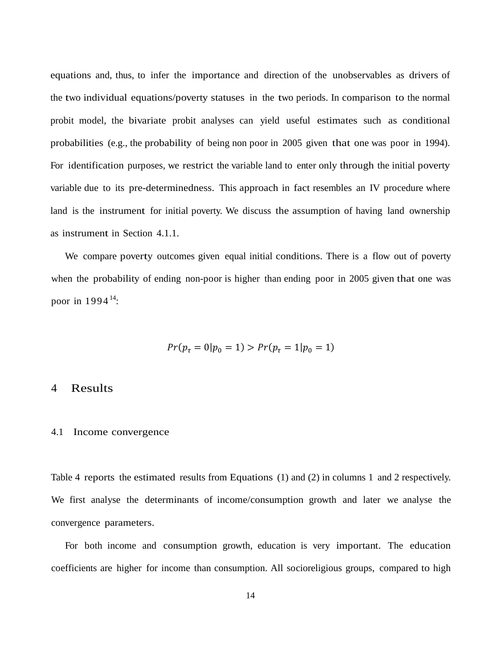equations and, thus, to infer the importance and direction of the unobservables as drivers of the two individual equations/poverty statuses in the two periods. In comparison to the normal probit model, the bivariate probit analyses can yield useful estimates such as conditional probabilities (e.g., the probability of being non poor in 2005 given that one was poor in 1994). For identification purposes, we restrict the variable land to enter only through the initial poverty variable due to its pre-determinedness. This approach in fact resembles an IV procedure where land is the instrument for initial poverty. We discuss the assumption of having land ownership as instrument in Section 4.1.1.

We compare poverty outcomes given equal initial conditions. There is a flow out of poverty when the probability of ending non-poor is higher than ending poor in 2005 given that one was poor in  $1994^{14}$  $1994^{14}$  $1994^{14}$ :

$$
Pr(p_{\tau} = 0 | p_0 = 1) > Pr(p_{\tau} = 1 | p_0 = 1)
$$

### 4 Results

#### 4.1 Income convergence

Table 4 reports the estimated results from Equations (1) and (2) in columns 1 and 2 respectively. We first analyse the determinants of income/consumption growth and later we analyse the convergence parameters.

For both income and consumption growth, education is very important. The education coefficients are higher for income than consumption. All socioreligious groups, compared to high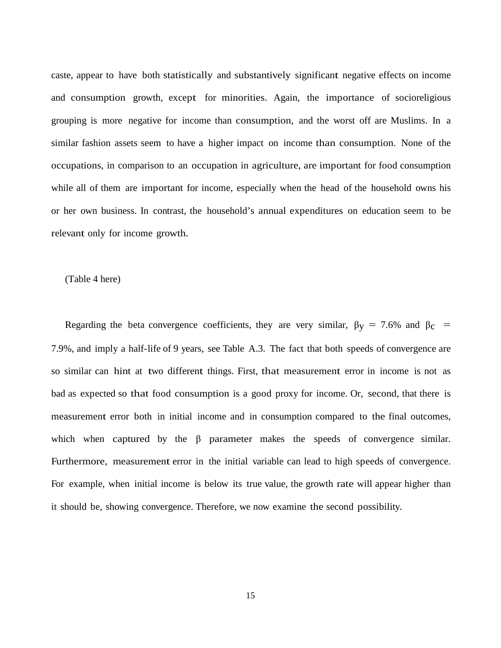caste, appear to have both statistically and substantively significant negative effects on income and consumption growth, except for minorities. Again, the importance of socioreligious grouping is more negative for income than consumption, and the worst off are Muslims. In a similar fashion assets seem to have a higher impact on income than consumption. None of the occupations, in comparison to an occupation in agriculture, are important for food consumption while all of them are important for income, especially when the head of the household owns his or her own business. In contrast, the household's annual expenditures on education seem to be relevant only for income growth.

#### (Table 4 here)

Regarding the beta convergence coefficients, they are very similar,  $\beta y = 7.6\%$  and  $\beta_c$  = 7.9%, and imply a half-life of 9 years, see Table A.3. The fact that both speeds of convergence are so similar can hint at two different things. First, that measurement error in income is not as bad as expected so that food consumption is a good proxy for income. Or, second, that there is measurement error both in initial income and in consumption compared to the final outcomes, which when captured by the β parameter makes the speeds of convergence similar. Furthermore, measurement error in the initial variable can lead to high speeds of convergence. For example, when initial income is below its true value, the growth rate will appear higher than it should be, showing convergence. Therefore, we now examine the second possibility.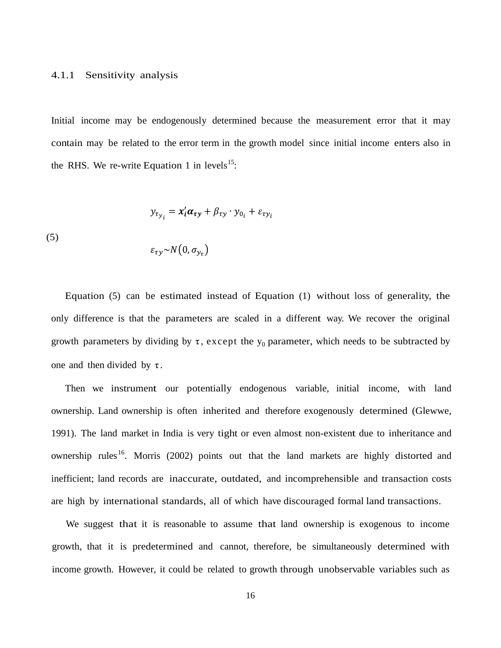#### 4.1.1 Sensitivity analysis

Initial income may be endogenously determined because the measurement error that it may contain may be related to the error term in the growth model since initial income enters also in the RHS. We re-write Equation 1 in levels<sup>[15](#page-43-7)</sup>:

$$
y_{\tau_{y_i}} = x'_i \alpha_{\tau y} + \beta_{\tau y} \cdot y_{0_i} + \varepsilon_{\tau y_i}
$$

(5)

$$
\varepsilon_{\tau y} \sim N(0, \sigma_{y_\tau})
$$

Equation (5) can be estimated instead of Equation (1) without loss of generality, the only difference is that the parameters are scaled in a different way. We recover the original growth parameters by dividing by  $\tau$ , except the  $y_0$  parameter, which needs to be subtracted by one and then divided by  $\tau$ .

Then we instrument our potentially endogenous variable, initial income, with land ownership. Land ownership is often inherited and therefore exogenously determined (Glewwe, 1991). The land market in India is very tight or even almost non-existent due to inheritance and ownership rules<sup>[16](#page-43-8)</sup>. Morris (2002) points out that the land markets are highly distorted and inefficient; land records are inaccurate, outdated, and incomprehensible and transaction costs are high by international standards, all of which have discouraged formal land transactions.

We suggest that it is reasonable to assume that land ownership is exogenous to income growth, that it is predetermined and cannot, therefore, be simultaneously determined with income growth. However, it could be related to growth through unobservable variables such as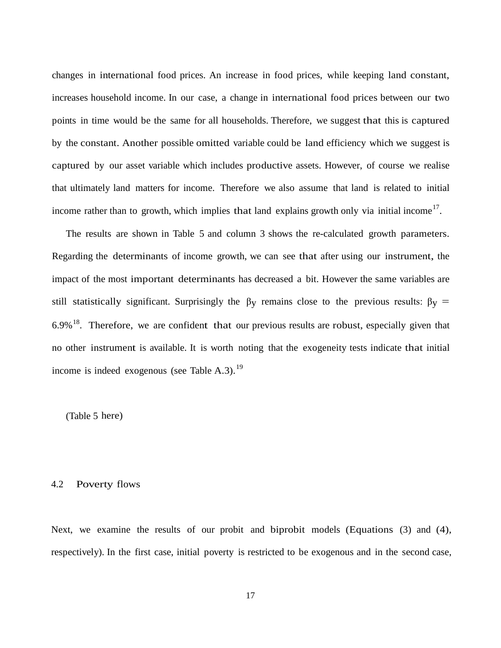changes in international food prices. An increase in food prices, while keeping land constant, increases household income. In our case, a change in international food prices between our two points in time would be the same for all households. Therefore, we suggest that this is captured by the constant. Another possible omitted variable could be land efficiency which we suggest is captured by our asset variable which includes productive assets. However, of course we realise that ultimately land matters for income. Therefore we also assume that land is related to initial income rather than to growth, which implies that land explains growth only via initial income<sup>[17](#page-43-9)</sup>.

The results are shown in Table 5 and column 3 shows the re-calculated growth parameters. Regarding the determinants of income growth, we can see that after using our instrument, the impact of the most important determinants has decreased a bit. However the same variables are still statistically significant. Surprisingly the  $\beta_y$  remains close to the previous results:  $\beta_y$  =  $6.9\%$ <sup>[18](#page-43-10)</sup>. Therefore, we are confident that our previous results are robust, especially given that no other instrument is available. It is worth noting that the exogeneity tests indicate that initial income is indeed exogenous (see Table A.3).<sup>[19](#page-43-11)</sup>

(Table 5 here)

#### 4.2 Poverty flows

Next, we examine the results of our probit and biprobit models (Equations (3) and (4), respectively). In the first case, initial poverty is restricted to be exogenous and in the second case,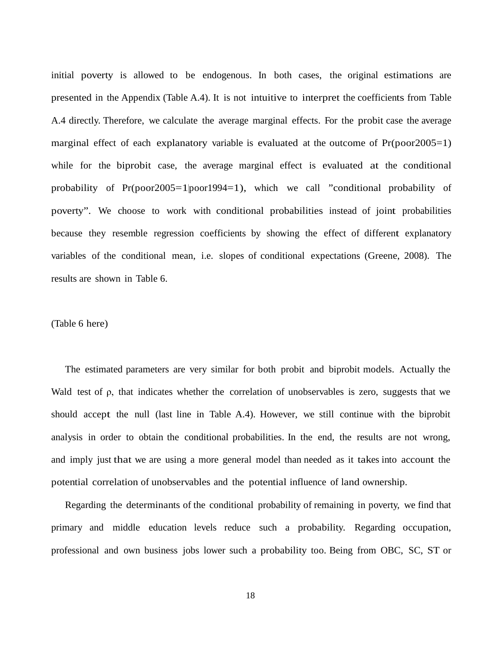initial poverty is allowed to be endogenous. In both cases, the original estimations are presented in the Appendix (Table A.4). It is not intuitive to interpret the coefficients from Table A.4 directly. Therefore, we calculate the average marginal effects. For the probit case the average marginal effect of each explanatory variable is evaluated at the outcome of Pr(poor2005=1) while for the biprobit case, the average marginal effect is evaluated at the conditional probability of Pr(poor2005=1|poor1994=1), which we call "conditional probability of poverty". We choose to work with conditional probabilities instead of joint probabilities because they resemble regression coefficients by showing the effect of different explanatory variables of the conditional mean, i.e. slopes of conditional expectations (Greene, 2008). The results are shown in Table 6.

#### (Table 6 here)

The estimated parameters are very similar for both probit and biprobit models. Actually the Wald test of ρ, that indicates whether the correlation of unobservables is zero, suggests that we should accept the null (last line in Table A.4). However, we still continue with the biprobit analysis in order to obtain the conditional probabilities. In the end, the results are not wrong, and imply just that we are using a more general model than needed as it takes into account the potential correlation of unobservables and the potential influence of land ownership.

Regarding the determinants of the conditional probability of remaining in poverty, we find that primary and middle education levels reduce such a probability. Regarding occupation, professional and own business jobs lower such a probability too. Being from OBC, SC, ST or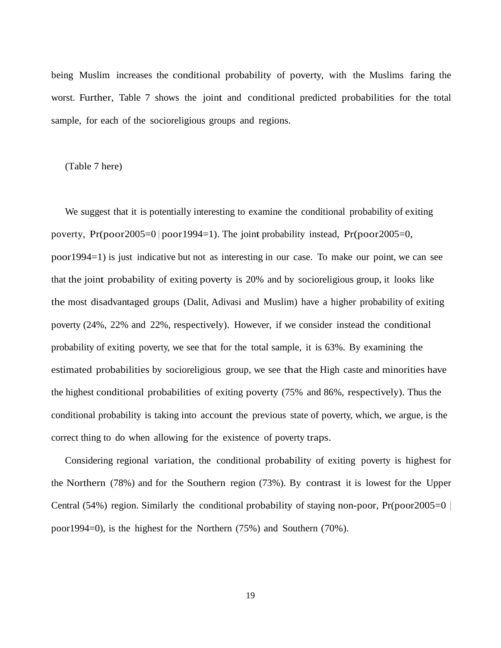being Muslim increases the conditional probability of poverty, with the Muslims faring the worst. Further, Table 7 shows the joint and conditional predicted probabilities for the total sample, for each of the socioreligious groups and regions.

(Table 7 here)

We suggest that it is potentially interesting to examine the conditional probability of exiting poverty, Pr(poor2005=0 | poor1994=1). The joint probability instead, Pr(poor2005=0, poor1994=1) is just indicative but not as interesting in our case. To make our point, we can see that the joint probability of exiting poverty is 20% and by socioreligious group, it looks like the most disadvantaged groups (Dalit, Adivasi and Muslim) have a higher probability of exiting poverty (24%, 22% and 22%, respectively). However, if we consider instead the conditional probability of exiting poverty, we see that for the total sample, it is 63%. By examining the estimated probabilities by socioreligious group, we see that the High caste and minorities have the highest conditional probabilities of exiting poverty (75% and 86%, respectively). Thus the conditional probability is taking into account the previous state of poverty, which, we argue, is the correct thing to do when allowing for the existence of poverty traps.

Considering regional variation, the conditional probability of exiting poverty is highest for the Northern (78%) and for the Southern region (73%). By contrast it is lowest for the Upper Central (54%) region. Similarly the conditional probability of staying non-poor,  $Pr(poor2005=0$ poor1994=0), is the highest for the Northern (75%) and Southern (70%).

19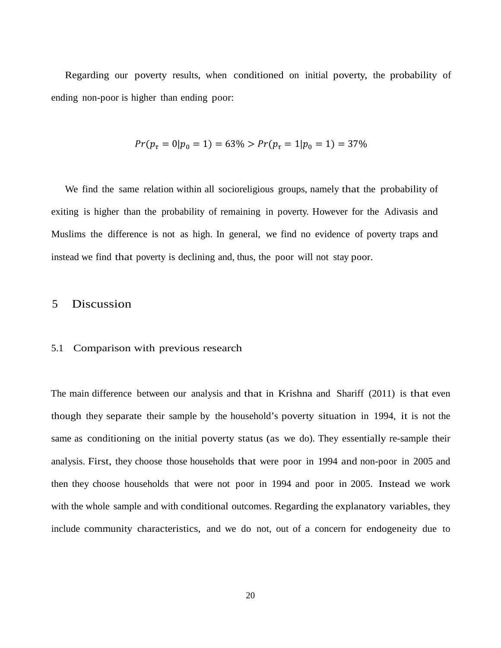Regarding our poverty results, when conditioned on initial poverty, the probability of ending non-poor is higher than ending poor:

$$
Pr(p_{\tau} = 0 | p_0 = 1) = 63\% > Pr(p_{\tau} = 1 | p_0 = 1) = 37\%
$$

We find the same relation within all socioreligious groups, namely that the probability of exiting is higher than the probability of remaining in poverty. However for the Adivasis and Muslims the difference is not as high. In general, we find no evidence of poverty traps and instead we find that poverty is declining and, thus, the poor will not stay poor.

# 5 Discussion

#### 5.1 Comparison with previous research

The main difference between our analysis and that in Krishna and Shariff (2011) is that even though they separate their sample by the household's poverty situation in 1994, it is not the same as conditioning on the initial poverty status (as we do). They essentially re-sample their analysis. First, they choose those households that were poor in 1994 and non-poor in 2005 and then they choose households that were not poor in 1994 and poor in 2005. Instead we work with the whole sample and with conditional outcomes. Regarding the explanatory variables, they include community characteristics, and we do not, out of a concern for endogeneity due to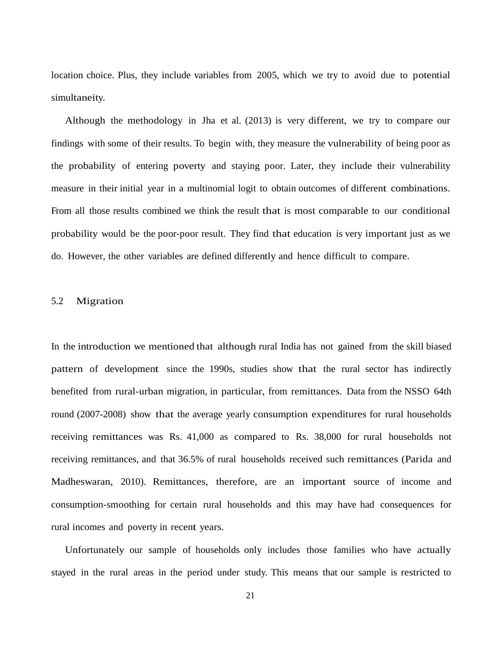location choice. Plus, they include variables from 2005, which we try to avoid due to potential simultaneity.

Although the methodology in Jha et al. (2013) is very different, we try to compare our findings with some of their results. To begin with, they measure the vulnerability of being poor as the probability of entering poverty and staying poor. Later, they include their vulnerability measure in their initial year in a multinomial logit to obtain outcomes of different combinations. From all those results combined we think the result that is most comparable to our conditional probability would be the poor-poor result. They find that education is very important just as we do. However, the other variables are defined differently and hence difficult to compare.

#### 5.2 Migration

In the introduction we mentioned that although rural India has not gained from the skill biased pattern of development since the 1990s, studies show that the rural sector has indirectly benefited from rural-urban migration, in particular, from remittances. Data from the NSSO 64th round (2007-2008) show that the average yearly consumption expenditures for rural households receiving remittances was Rs. 41,000 as compared to Rs. 38,000 for rural households not receiving remittances, and that 36.5% of rural households received such remittances (Parida and Madheswaran, 2010). Remittances, therefore, are an important source of income and consumption-smoothing for certain rural households and this may have had consequences for rural incomes and poverty in recent years.

Unfortunately our sample of households only includes those families who have actually stayed in the rural areas in the period under study. This means that our sample is restricted to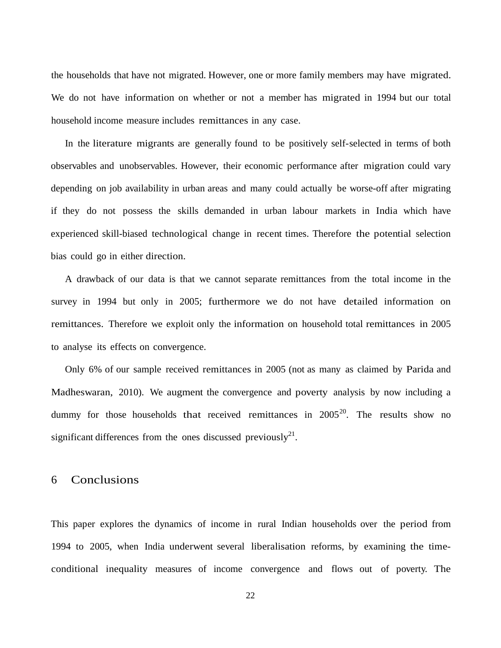the households that have not migrated. However, one or more family members may have migrated. We do not have information on whether or not a member has migrated in 1994 but our total household income measure includes remittances in any case.

In the literature migrants are generally found to be positively self-selected in terms of both observables and unobservables. However, their economic performance after migration could vary depending on job availability in urban areas and many could actually be worse-off after migrating if they do not possess the skills demanded in urban labour markets in India which have experienced skill-biased technological change in recent times. Therefore the potential selection bias could go in either direction.

A drawback of our data is that we cannot separate remittances from the total income in the survey in 1994 but only in 2005; furthermore we do not have detailed information on remittances. Therefore we exploit only the information on household total remittances in 2005 to analyse its effects on convergence.

Only 6% of our sample received remittances in 2005 (not as many as claimed by Parida and Madheswaran, 2010). We augment the convergence and poverty analysis by now including a dummy for those households that received remittances in  $2005^{20}$  $2005^{20}$ . The results show no significant differences from the ones discussed previously<sup>21</sup>.

### 6 Conclusions

This paper explores the dynamics of income in rural Indian households over the period from 1994 to 2005, when India underwent several liberalisation reforms, by examining the timeconditional inequality measures of income convergence and flows out of poverty. The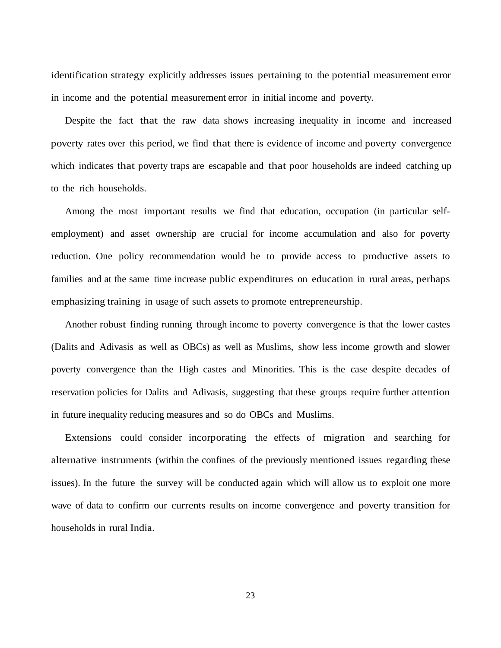identification strategy explicitly addresses issues pertaining to the potential measurement error in income and the potential measurement error in initial income and poverty.

Despite the fact that the raw data shows increasing inequality in income and increased poverty rates over this period, we find that there is evidence of income and poverty convergence which indicates that poverty traps are escapable and that poor households are indeed catching up to the rich households.

Among the most important results we find that education, occupation (in particular selfemployment) and asset ownership are crucial for income accumulation and also for poverty reduction. One policy recommendation would be to provide access to productive assets to families and at the same time increase public expenditures on education in rural areas, perhaps emphasizing training in usage of such assets to promote entrepreneurship.

Another robust finding running through income to poverty convergence is that the lower castes (Dalits and Adivasis as well as OBCs) as well as Muslims, show less income growth and slower poverty convergence than the High castes and Minorities. This is the case despite decades of reservation policies for Dalits and Adivasis, suggesting that these groups require further attention in future inequality reducing measures and so do OBCs and Muslims.

Extensions could consider incorporating the effects of migration and searching for alternative instruments (within the confines of the previously mentioned issues regarding these issues). In the future the survey will be conducted again which will allow us to exploit one more wave of data to confirm our currents results on income convergence and poverty transition for households in rural India.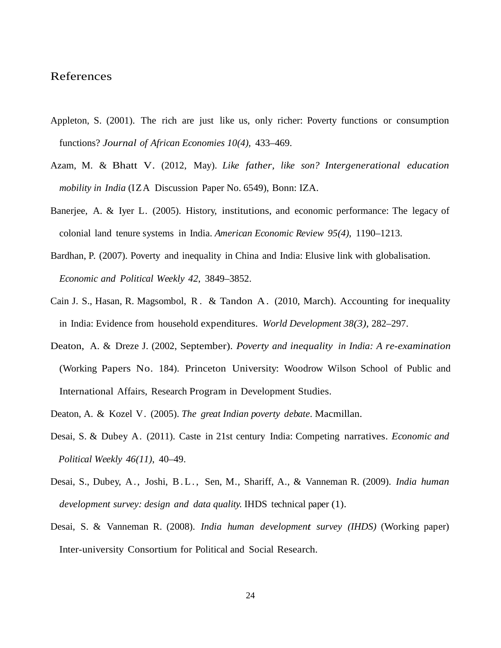### References

- Appleton, S. (2001). The rich are just like us, only richer: Poverty functions or consumption functions? *Journal of African Economies 10(4),* 433–469.
- Azam, M. & Bhatt V. (2012, May). *Like father, like son? Intergenerational education mobility in India* (IZA Discussion Paper No. 6549), Bonn: IZA.
- Banerjee, A. & Iyer L. (2005). History, institutions, and economic performance: The legacy of colonial land tenure systems in India. *American Economic Review 95(4)*, 1190–1213.
- Bardhan, P. (2007). Poverty and inequality in China and India: Elusive link with globalisation. *Economic and Political Weekly 42*, 3849–3852.
- Cain J. S., Hasan, R. Magsombol, R. & Tandon A. (2010, March). Accounting for inequality in India: Evidence from household expenditures. *World Development 38(3),* 282–297.
- Deaton, A. & Dreze J. (2002, September). *Poverty and inequality in India: A re-examination* (Working Papers No. 184). Princeton University: Woodrow Wilson School of Public and International Affairs, Research Program in Development Studies.
- Deaton, A. & Kozel V. (2005). *The great Indian poverty debate*. Macmillan.
- Desai, S. & Dubey A. (2011). Caste in 21st century India: Competing narratives. *Economic and Political Weekly 46(11)*, 40–49.
- Desai, S., Dubey, A., Joshi, B.L., Sen, M., Shariff, A., & Vanneman R. (2009). *India human development survey: design and data quality*. IHDS technical paper (1).
- Desai, S. & Vanneman R. (2008). *India human development survey (IHDS)* (Working paper) Inter-university Consortium for Political and Social Research.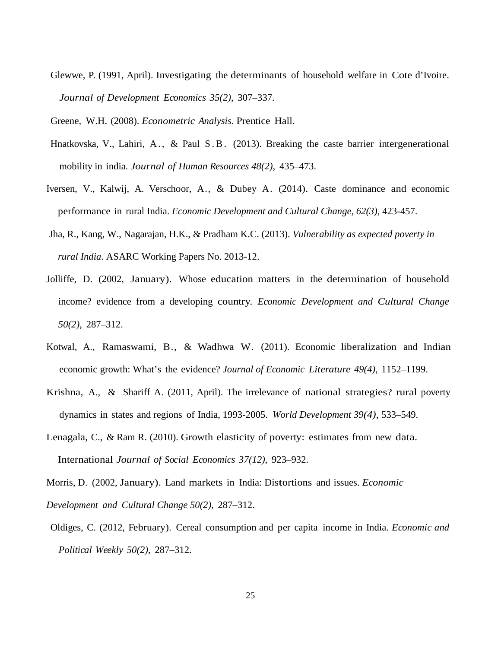Glewwe, P. (1991, April). Investigating the determinants of household welfare in Cote d'Ivoire. *Journal of Development Economics 35(2)*, 307–337.

Greene, W.H. (2008). *Econometric Analysis*. Prentice Hall.

- Hnatkovska, V., Lahiri, A., & Paul S.B. (2013). Breaking the caste barrier intergenerational mobility in india. *Journal of Human Resources 48(2)*, 435–473.
- Iversen, V., Kalwij, A. Verschoor, A., & Dubey A. (2014). Caste dominance and economic performance in rural India. *Economic Development and Cultural Change, 62(3)*, 423-457.
- Jha, R., Kang, W., Nagarajan, H.K., & Pradham K.C. (2013). *Vulnerability as expected poverty in rural India*. ASARC Working Papers No. 2013-12.
- Jolliffe, D. (2002, January). Whose education matters in the determination of household income? evidence from a developing country. *Economic Development and Cultural Change 50(2)*, 287–312.
- Kotwal, A., Ramaswami, B., & Wadhwa W. (2011). Economic liberalization and Indian economic growth: What's the evidence? *Journal of Economic Literature 49(4)*, 1152–1199.
- Krishna, A., & Shariff A. (2011, April). The irrelevance of national strategies? rural poverty dynamics in states and regions of India, 1993-2005. *World Development 39(4)*, 533–549.
- Lenagala, C., & Ram R. (2010). Growth elasticity of poverty: estimates from new data. International *Journal of Social Economics 37(12)*, 923–932.
- Morris, D. (2002, January). Land markets in India: Distortions and issues. *Economic*
- *Development and Cultural Change 50(2)*, 287–312.
- Oldiges, C. (2012, February). Cereal consumption and per capita income in India. *Economic and Political Weekly 50(2)*, 287–312.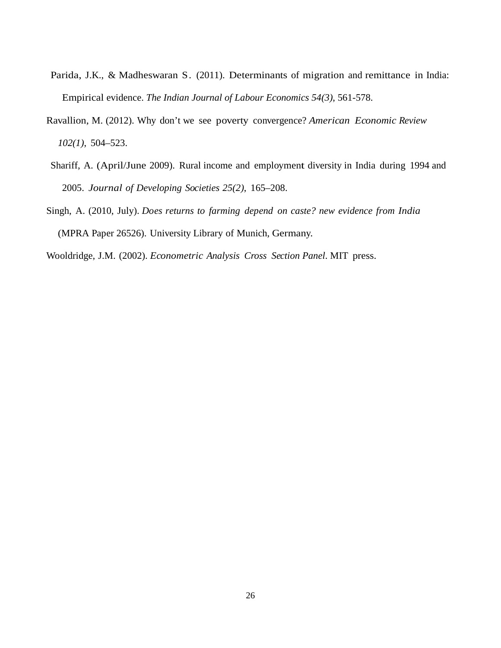- Parida, J.K., & Madheswaran S. (2011). Determinants of migration and remittance in India: Empirical evidence. *The Indian Journal of Labour Economics 54(3)*, 561-578.
- Ravallion, M. (2012). Why don't we see poverty convergence? *American Economic Review 102(1)*, 504–523.
- Shariff, A. (April/June 2009). Rural income and employment diversity in India during 1994 and 2005. *Journal of Developing Societies 25(2)*, 165–208.
- Singh, A. (2010, July). *Does returns to farming depend on caste? new evidence from India* (MPRA Paper 26526). University Library of Munich, Germany.
- Wooldridge, J.M. (2002). *Econometric Analysis Cross Section Panel*. MIT press.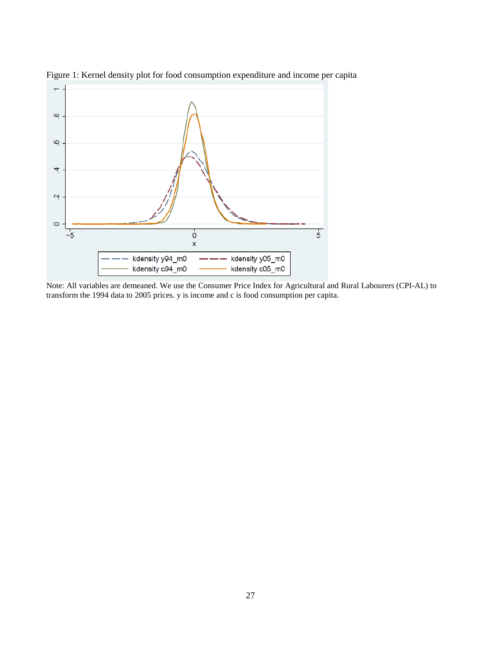

Figure 1: Kernel density plot for food consumption expenditure and income per capita

Note: All variables are demeaned. We use the Consumer Price Index for Agricultural and Rural Labourers (CPI-AL) to transform the 1994 data to 2005 prices. y is income and c is food consumption per capita.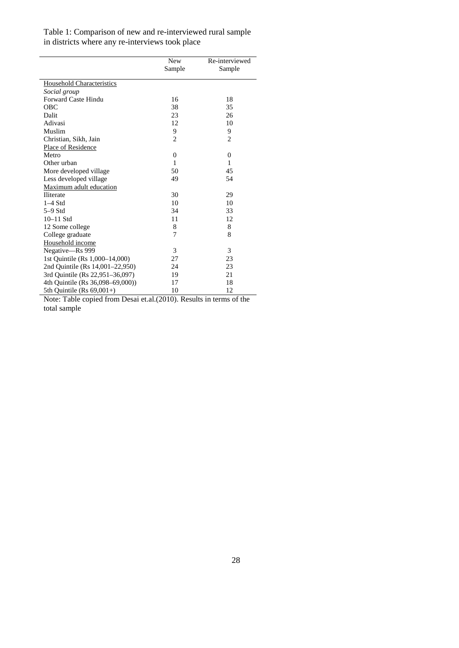Table 1: Comparison of new and re-interviewed rural sample in districts where any re-interviews took place

|                                  | <b>New</b>     | Re-interviewed |
|----------------------------------|----------------|----------------|
|                                  | Sample         | Sample         |
| <b>Household Characteristics</b> |                |                |
| Social group                     |                |                |
| <b>Forward Caste Hindu</b>       | 16             | 18             |
| OBC                              | 38             | 35             |
| Dalit                            | 23             | 26             |
| Adivasi                          | 12             | 10             |
| Muslim                           | 9              | 9              |
| Christian, Sikh, Jain            | 2              | $\overline{c}$ |
| Place of Residence               |                |                |
| Metro                            | $\overline{0}$ | $\mathbf{0}$   |
| Other urban                      | 1              | 1              |
| More developed village           | 50             | 45             |
| Less developed village           | 49             | 54             |
| Maximum adult education          |                |                |
| <b>Iliterate</b>                 | 30             | 29             |
| $1-4$ Std                        | 10             | 10             |
| $5-9$ Std                        | 34             | 33             |
| $10-11$ Std                      | 11             | 12             |
| 12 Some college                  | 8              | 8              |
| College graduate                 | 7              | 8              |
| Household income                 |                |                |
| Negative-Rs 999                  | 3              | 3              |
| 1st Ouintile (Rs 1,000–14,000)   | 27             | 23             |
| 2nd Quintile (Rs 14,001–22,950)  | 24             | 23             |
| 3rd Quintile (Rs 22,951-36,097)  | 19             | 21             |
| 4th Quintile (Rs 36,098-69,000)) | 17             | 18             |
| 5th Quintile (Rs $69,001+$ )     | 10             | 12             |

Note: Table copied from Desai et.al.(2010). Results in terms of the total sample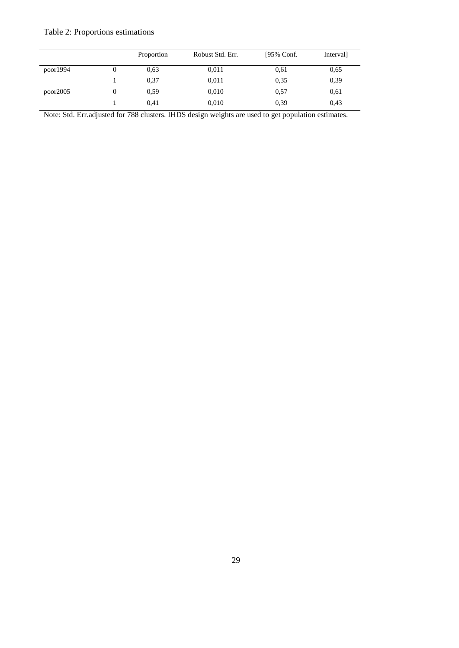# Table 2: Proportions estimations

|          | Proportion | Robust Std. Err. | [95% Conf. | Interval] |
|----------|------------|------------------|------------|-----------|
| poor1994 | 0.63       | 0,011            | 0,61       | 0,65      |
|          | 0,37       | 0,011            | 0,35       | 0,39      |
| poor2005 | 0.59       | 0,010            | 0.57       | 0,61      |
|          | 0,41       | 0,010            | 0.39       | 0,43      |

Note: Std. Err.adjusted for 788 clusters. IHDS design weights are used to get population estimates.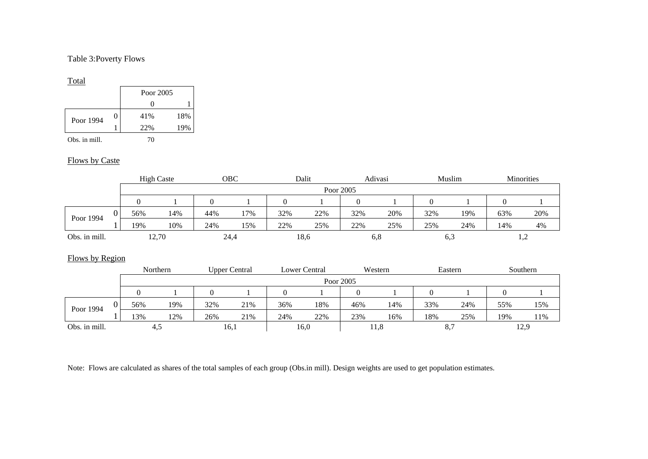### Table 3:Poverty Flows

#### Total

|               |  | Poor 2005 |     |
|---------------|--|-----------|-----|
|               |  |           |     |
| Poor 1994     |  | 41%       | 18% |
|               |  | 22%       | 19% |
| Obs. in mill. |  | 70        |     |

### Flows by Caste

|                 |          |                | <b>High Caste</b> |                | OBC                  |          | Dalit         |              | Adivasi |          | Muslim  |          | Minorities |
|-----------------|----------|----------------|-------------------|----------------|----------------------|----------|---------------|--------------|---------|----------|---------|----------|------------|
|                 |          |                |                   |                |                      |          |               | Poor 2005    |         |          |         |          |            |
|                 |          | $\overline{0}$ |                   | $\overline{0}$ |                      | $\Omega$ |               | $\mathbf{0}$ |         | $\Omega$ |         | $\theta$ |            |
| Poor 1994       | $\Omega$ | 56%            | 14%               | 44%            | 17%                  | 32%      | 22%           | 32%          | 20%     | 32%      | 19%     | 63%      | 20%        |
|                 |          | 19%            | 10%               | 24%            | 15%                  | 22%      | 25%           | 22%          | 25%     | 25%      | 24%     | 14%      | 4%         |
| Obs. in mill.   |          |                | 12,70             |                | 24,4                 |          | 18,6          |              | 6,8     | 6,3      |         |          | 1,2        |
|                 |          |                |                   |                |                      |          |               |              |         |          |         |          |            |
| Flows by Region |          |                |                   |                |                      |          |               |              |         |          |         |          |            |
|                 |          |                | Northern          |                | <b>Upper Central</b> |          | Lower Central |              | Western |          | Eastern |          | Southern   |
|                 |          |                |                   |                |                      |          |               | Poor 2005    |         |          |         |          |            |
|                 |          | $\Omega$       |                   | $\theta$       |                      | $\theta$ |               | $\mathbf{0}$ |         | $\Omega$ |         | $\Omega$ |            |
| Poor 1994       | $\Omega$ | 56%            | 19%               | 32%            | 21%                  | 36%      | 18%           | 46%          | 14%     | 33%      | 24%     | 55%      | 15%        |
|                 |          | 13%            | 12%               | 26%            | 21%                  | 24%      | 22%           | 23%          | 16%     | 18%      | 25%     | 19%      | 11%        |
| Obs. in mill.   |          |                | 4,5               |                | 16,1                 |          | 16,0          |              | 11,8    | 8,7      |         |          | 12,9       |

Note: Flows are calculated as shares of the total samples of each group (Obs.in mill). Design weights are used to get population estimates.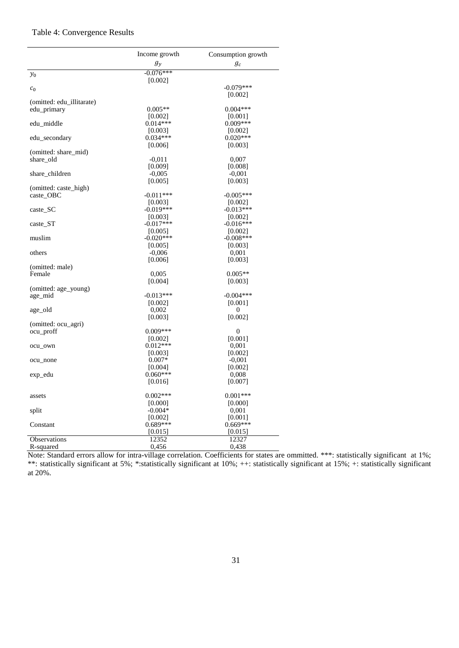## Table 4: Convergence Results

|                                  | Income growth          | Consumption growth        |
|----------------------------------|------------------------|---------------------------|
|                                  | $g_y$                  | $g_c$                     |
| $\mathcal{Y}_0$                  | $-0.076***$            |                           |
|                                  | [0.002]                |                           |
| c <sub>0</sub>                   |                        | $-0.079***$<br>[0.002]    |
| (omitted: edu_illitarate)        |                        |                           |
| edu_primary                      | $0.005**$              | $0.004***$                |
|                                  | [0.002]                | [0.001]                   |
| edu_middle                       | $0.014***$             | $0.009***$                |
|                                  | [0.003]                | [0.002]                   |
| edu_secondary                    | $0.034***$             | $0.020***$                |
| (omitted: share_mid)             | [0.006]                | [0.003]                   |
| share_old                        | $-0,011$               | 0,007                     |
|                                  | [0.009]                | [0.008]                   |
| share_children                   | $-0,005$               | $-0.001$                  |
|                                  | [0.005]                | [0.003]                   |
| (omitted: caste_high)            |                        |                           |
| caste_OBC                        | $-0.011***$            | $-0.005***$               |
| caste_SC                         | [0.003]<br>$-0.019***$ | [0.002]<br>$-0.013***$    |
|                                  | [0.003]                | [0.002]                   |
| caste ST                         | $-0.017***$            | $-0.016***$               |
|                                  | [0.005]                | [0.002]                   |
| muslim                           | $-0.020***$            | $-0.008$ ***              |
|                                  | [0.005]                | [0.003]                   |
| others                           | $-0,006$               | 0,001                     |
|                                  | [0.006]                | [0.003]                   |
| (omitted: male)<br>Female        | 0,005                  | $0.005**$                 |
|                                  | [0.004]                | [0.003]                   |
| (omitted: age_young)             |                        |                           |
| age_mid                          | $-0.013***$            | $-0.004***$               |
|                                  | [0.002]                | [0.001]                   |
| age_old                          | 0,002                  | $\theta$                  |
|                                  | [0.003]                | [0.002]                   |
| (omitted: ocu_agri)              |                        |                           |
| ocu_proff                        | $0.009***$<br>[0.002]  | $\overline{0}$<br>[0.001] |
| ocu_own                          | $0.012***$             | 0,001                     |
|                                  | [0.003]                | [0.002]                   |
| ocu_none                         | $0.007*$               | $-0,001$                  |
|                                  | [0.004]                | [0.002]                   |
| exp_edu                          | $0.060***$             | 0,008                     |
|                                  | [0.016]                | [0.007]                   |
| assets                           | $0.002***$             | $0.001***$                |
|                                  | [0.000]                | [0.000]                   |
| split                            | $-0.004*$              | 0,001                     |
|                                  | [0.002]                | [0.001]                   |
| Constant                         | $0.689***$             | $0.669***$                |
|                                  | [0.015]                | [0.015]                   |
| <b>Observations</b><br>R-squared | 12352<br>0,456         | 12327<br>0,438            |
|                                  |                        |                           |

Note: Standard errors allow for intra-village correlation. Coefficients for states are ommitted. \*\*\*: statistically significant at 1%; \*\*: statistically significant at 5%; \*:statistically significant at 10%; ++: statistically significant at 15%; +: statistically significant at 20%.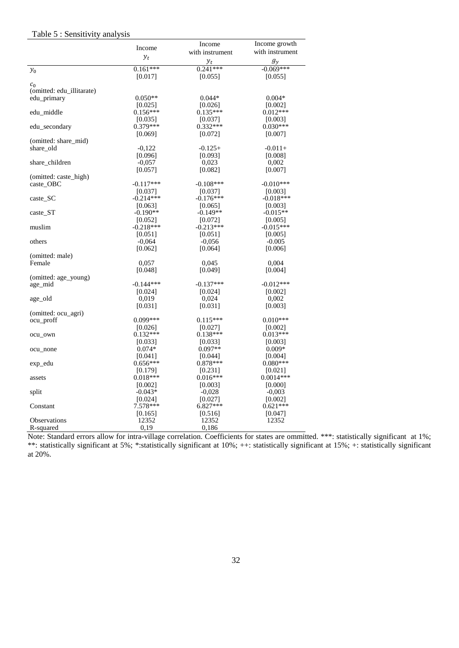#### Table 5 : Sensitivity analysis

|                           |                     | Income              | Income growth         |
|---------------------------|---------------------|---------------------|-----------------------|
|                           | Income              | with instrument     | with instrument       |
|                           | $y_t$               | $y_t$               | $g_{\nu}$             |
| $y_0$                     | $0.161***$          | $0.241***$          | $-0.069***$           |
|                           | [0.017]             | [0.055]             | [0.055]               |
| c <sub>0</sub>            |                     |                     |                       |
| (omitted: edu_illitarate) |                     |                     |                       |
| edu_primary               | $0.050**$           | $0.044*$            | $0.004*$              |
|                           | [0.025]             | [0.026]             | [0.002]               |
| edu middle                | $0.156***$          | $0.135***$          | $0.012***$            |
|                           | [0.035]             | [0.037]             | [0.003]               |
| edu_secondary             | $0.379***$          | $0.332***$          | $0.030***$            |
|                           | [0.069]             | [0.072]             | [0.007]               |
| (omitted: share_mid)      |                     |                     |                       |
| share old                 | $-0,122$            | $-0.125+$           | $-0.011+$             |
|                           | [0.096]             | [0.093]             | [0.008]               |
| share_children            | $-0.057$            | 0,023               | 0,002                 |
|                           | [0.057]             | [0.082]             | [0.007]               |
| (omitted: caste_high)     |                     |                     |                       |
| caste_OBC                 | $-0.117***$         | $-0.108***$         | $-0.010***$           |
|                           | [0.037]             | [0.037]             | [0.003]               |
| $\caste\_SC$              | $-0.214***$         | $-0.176***$         | $-0.018***$           |
|                           | [0.063]             | [0.065]             | [0.003]               |
| caste ST                  | $-0.190**$          | $-0.149**$          | $-0.015**$            |
|                           | [0.052]             | [0.072]             | [0.005]               |
| muslim                    | $-0.218***$         | $-0.213***$         | $-0.015***$           |
|                           | [0.051]             | [0.051]             | [0.005]               |
| others                    | $-0,064$            | $-0.056$            | $-0.005$              |
|                           | [0.062]             | [0.064]             | [0.006]               |
| (omitted: male)           |                     |                     |                       |
| Female                    | 0,057               | 0,045               | 0,004                 |
|                           | [0.048]             | [0.049]             | [0.004]               |
| (omitted: age_young)      |                     |                     |                       |
| age_mid                   | $-0.144***$         | $-0.137***$         | $-0.012***$           |
|                           | [0.024]             | [0.024]             | [0.002]               |
| age_old                   | 0,019               | 0,024               | 0,002                 |
|                           | [0.031]             | [0.031]             | [0.003]               |
| (omitted: ocu_agri)       |                     |                     |                       |
| ocu_proff                 | $0.099***$          | $0.115***$          | $0.010***$            |
|                           | [0.026]             | [0.027]             | [0.002]               |
| ocu_own                   | $0.132***$          | $0.138***$          | $0.013***$            |
|                           | [0.033]             | [0.033]             | [0.003]               |
| ocu_none                  | $0.074*$            | $0.097**$           | $0.009*$              |
|                           | [0.041]             | [0.044]             | [0.004]               |
| exp_edu                   | $0.656***$          | $0.878***$          | $0.080***$            |
|                           | [0.179]             | [0.231]             | [0.021]               |
| assets                    | $0.018***$          | $0.016***$          | $0.0014***$           |
|                           | [0.002]             | [0.003]             | [0.000]               |
| split                     | $-0.043*$           | $-0,028$            | $-0,003$              |
|                           | [0.024]<br>7.578*** | [0.027]<br>6.827*** | [0.002]<br>$0.621***$ |
| Constant                  |                     |                     |                       |
| Observations              | [0.165]<br>12352    | [0.516]<br>12352    | [0.047]<br>12352      |
|                           |                     |                     |                       |
| R-squared                 | 0,19                | 0,186               |                       |

Note: Standard errors allow for intra-village correlation. Coefficients for states are ommitted. \*\*\*: statistically significant at 1%; \*\*: statistically significant at 5%; \*:statistically significant at 10%; ++: statistically significant at 15%; +: statistically significant at 20%.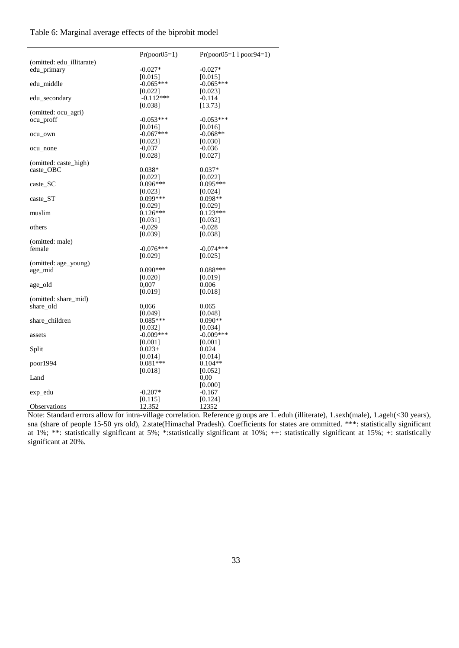Table 6: Marginal average effects of the biprobit model

|                           | $Pr(poor05=1)$ | $Pr(poor05=1   poor94=1)$ |
|---------------------------|----------------|---------------------------|
| (omitted: edu_illitarate) |                |                           |
| edu_primary               | $-0.027*$      | $-0.027*$                 |
|                           | [0.015]        | [0.015]                   |
| edu middle                | $-0.065***$    | $-0.065***$               |
|                           | [0.022]        | [0.023]                   |
| edu_secondary             | $-0.112***$    | $-0.114$                  |
|                           | [0.038]        | [13.73]                   |
| (omitted: ocu_agri)       |                |                           |
| ocu_proff                 | $-0.053***$    | $-0.053***$               |
|                           | [0.016]        | [0.016]                   |
| ocu_own                   | $-0.067***$    | $-0.068**$                |
|                           | [0.023]        | [0.030]                   |
| ocu_none                  | -0,037         | $-0.036$                  |
|                           | [0.028]        | [0.027]                   |
| (omitted: caste_high)     |                |                           |
| caste_OBC                 | $0.038*$       | $0.037*$                  |
|                           | [0.022]        | [0.022]                   |
| caste_SC                  | $0.096***$     | 0.095***                  |
|                           | [0.023]        | [0.024]                   |
| caste_ST                  | $0.099***$     | $0.098**$                 |
|                           | [0.029]        | [0.029]                   |
| muslim                    | $0.126***$     | $0.123***$                |
|                           | [0.031]        | [0.032]                   |
| others                    | $-0.029$       | $-0.028$                  |
|                           | [0.039]        | [0.038]                   |
| (omitted: male)           |                |                           |
| female                    | $-0.076***$    | $-0.074***$               |
|                           |                |                           |
|                           | [0.029]        | [0.025]                   |
| (omitted: age_young)      | $0.090***$     | $0.088***$                |
| age mid                   |                |                           |
|                           | [0.020]        | [0.019]                   |
| age_old                   | 0.007          | 0.006                     |
|                           | [0.019]        | [0.018]                   |
| (omitted: share_mid)      |                |                           |
| share_old                 | 0,066          | 0.065                     |
|                           | [0.049]        | [0.048]                   |
| share_children            | $0.085***$     | $0.090**$                 |
|                           | [0.032]        | [0.034]                   |
| assets                    | $-0.009***$    | $-0.009***$               |
|                           | [0.001]        | [0.001]                   |
| Split                     | $0.023+$       | 0.024                     |
|                           | [0.014]        | [0.014]                   |
| poor1994                  | $0.081***$     | $0.104**$                 |
|                           | [0.018]        | [0.052]                   |
| Land                      |                | $0.00\,$                  |
|                           |                | [0.000]                   |
| exp_edu                   | $-0.207*$      | $-0.167$                  |
|                           | [0.115]        | [0.124]                   |
| <b>Observations</b>       | 12.352         | 12352                     |

Note: Standard errors allow for intra-village correlation. Reference groups are 1. eduh (illiterate), 1.sexh(male), 1.ageh(<30 years), sna (share of people 15-50 yrs old), 2.state(Himachal Pradesh). Coefficients for states are ommitted. \*\*\*: statistically significant at 1%; \*\*: statistically significant at 5%; \*:statistically significant at 10%; ++: statistically significant at 15%; +: statistically significant at 20%.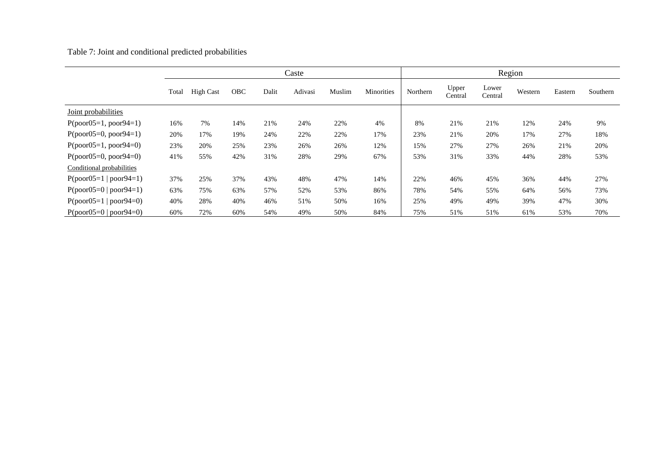Table 7: Joint and conditional predicted probabilities

|                           |       | Caste            |            |       |         |        |            |          |                  | Region           |         |         |          |
|---------------------------|-------|------------------|------------|-------|---------|--------|------------|----------|------------------|------------------|---------|---------|----------|
|                           | Total | <b>High Cast</b> | <b>OBC</b> | Dalit | Adivasi | Muslim | Minorities | Northern | Upper<br>Central | Lower<br>Central | Western | Eastern | Southern |
| Joint probabilities       |       |                  |            |       |         |        |            |          |                  |                  |         |         |          |
| $P(poor05=1, poor94=1)$   | 16%   | 7%               | 14%        | 21%   | 24%     | 22%    | 4%         | 8%       | 21%              | 21%              | 12%     | 24%     | 9%       |
| $P(poor05=0, poor94=1)$   | 20%   | 17%              | 19%        | 24%   | 22%     | 22%    | 17%        | 23%      | 21%              | 20%              | 17%     | 27%     | 18%      |
| $P(poor05=1, poor94=0)$   | 23%   | 20%              | 25%        | 23%   | 26%     | 26%    | 12%        | 15%      | 27%              | 27%              | 26%     | 21%     | 20%      |
| $P(poor05=0, poor94=0)$   | 41%   | 55%              | 42%        | 31%   | 28%     | 29%    | 67%        | 53%      | 31%              | 33%              | 44%     | 28%     | 53%      |
| Conditional probabilities |       |                  |            |       |         |        |            |          |                  |                  |         |         |          |
| $P(poor05=1   poor94=1)$  | 37%   | 25%              | 37%        | 43%   | 48%     | 47%    | 14%        | 22%      | 46%              | 45%              | 36%     | 44%     | 27%      |
| $P(poor05=0   poor94=1)$  | 63%   | 75%              | 63%        | 57%   | 52%     | 53%    | 86%        | 78%      | 54%              | 55%              | 64%     | 56%     | 73%      |
| $P(poor05=1   poor94=0)$  | 40%   | 28%              | 40%        | 46%   | 51%     | 50%    | 16%        | 25%      | 49%              | 49%              | 39%     | 47%     | 30%      |
| $P(poor05=0   poor94=0)$  | 60%   | 72%              | 60%        | 54%   | 49%     | 50%    | 84%        | 75%      | 51%              | 51%              | 61%     | 53%     | 70%      |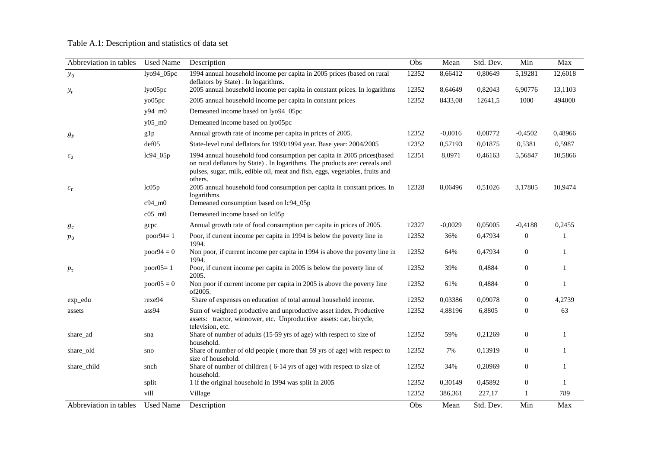## Table A.1: Description and statistics of data set

| Abbreviation in tables | <b>Used Name</b> | Description                                                                                                                                                                                                                                     | Obs   | Mean      | Std. Dev. | Min              | Max          |
|------------------------|------------------|-------------------------------------------------------------------------------------------------------------------------------------------------------------------------------------------------------------------------------------------------|-------|-----------|-----------|------------------|--------------|
| $y_0$                  | lyo94_05pc       | 1994 annual household income per capita in 2005 prices (based on rural<br>deflators by State). In logarithms.                                                                                                                                   | 12352 | 8,66412   | 0,80649   | 5,19281          | 12,6018      |
| $y_\tau$               | lyo05pc          | 2005 annual household income per capita in constant prices. In logarithms                                                                                                                                                                       | 12352 | 8,64649   | 0,82043   | 6,90776          | 13,1103      |
|                        | yo05pc           | 2005 annual household income per capita in constant prices                                                                                                                                                                                      | 12352 | 8433,08   | 12641,5   | 1000             | 494000       |
|                        | y94_m0           | Demeaned income based on lyo94_05pc                                                                                                                                                                                                             |       |           |           |                  |              |
|                        | $y05$ _m $0$     | Demeaned income based on lyo05pc                                                                                                                                                                                                                |       |           |           |                  |              |
| $g_y$                  | g1p              | Annual growth rate of income per capita in prices of 2005.                                                                                                                                                                                      | 12352 | $-0,0016$ | 0,08772   | $-0,4502$        | 0,48966      |
|                        | def05            | State-level rural deflators for 1993/1994 year. Base year: 2004/2005                                                                                                                                                                            | 12352 | 0,57193   | 0,01875   | 0,5381           | 0,5987       |
| $c_0$                  | lc94_05p         | 1994 annual household food consumption per capita in 2005 prices(based<br>on rural deflators by State). In logarithms. The products are: cereals and<br>pulses, sugar, milk, edible oil, meat and fish, eggs, vegetables, fruits and<br>others. | 12351 | 8,0971    | 0,46163   | 5,56847          | 10,5866      |
| $c_{\tau}$             | lc05p            | 2005 annual household food consumption per capita in constant prices. In<br>logarithms.                                                                                                                                                         | 12328 | 8,06496   | 0,51026   | 3,17805          | 10,9474      |
|                        | $c94$ _m $0$     | Demeaned consumption based on lc94_05p                                                                                                                                                                                                          |       |           |           |                  |              |
|                        | $c05$ _m $0$     | Demeaned income based on lc05p                                                                                                                                                                                                                  |       |           |           |                  |              |
| $g_c$                  | gcpc             | Annual growth rate of food consumption per capita in prices of 2005.                                                                                                                                                                            | 12327 | $-0,0029$ | 0,05005   | $-0,4188$        | 0,2455       |
| $p_{0}$                | poor $94=1$      | Poor, if current income per capita in 1994 is below the poverty line in<br>1994.                                                                                                                                                                | 12352 | 36%       | 0,47934   | $\boldsymbol{0}$ | $\mathbf{1}$ |
|                        | $poor94 = 0$     | Non poor, if current income per capita in 1994 is above the poverty line in<br>1994.                                                                                                                                                            | 12352 | 64%       | 0,47934   | $\mathbf{0}$     | 1            |
| $p_\tau$               | poor $05=1$      | Poor, if current income per capita in 2005 is below the poverty line of<br>2005.                                                                                                                                                                | 12352 | 39%       | 0,4884    | $\mathbf{0}$     | 1            |
|                        | $poor05 = 0$     | Non poor if current income per capita in 2005 is above the poverty line<br>of2005.                                                                                                                                                              | 12352 | 61%       | 0,4884    | $\boldsymbol{0}$ | $\mathbf{1}$ |
| exp_edu                | rexe94           | Share of expenses on education of total annual household income.                                                                                                                                                                                | 12352 | 0,03386   | 0,09078   | $\overline{0}$   | 4.2739       |
| assets                 | ass94            | Sum of weighted productive and unproductive asset index. Productive<br>assets: tractor, winnower, etc. Unproductive assets: car, bicycle,<br>television, etc.                                                                                   | 12352 | 4,88196   | 6,8805    | $\boldsymbol{0}$ | 63           |
| share_ad               | sna              | Share of number of adults (15-59 yrs of age) with respect to size of<br>household.                                                                                                                                                              | 12352 | 59%       | 0,21269   | $\boldsymbol{0}$ | 1            |
| share_old              | sno              | Share of number of old people (more than 59 yrs of age) with respect to<br>size of household.                                                                                                                                                   | 12352 | 7%        | 0,13919   | $\boldsymbol{0}$ |              |
| share_child            | snch             | Share of number of children (6-14 yrs of age) with respect to size of<br>household.                                                                                                                                                             | 12352 | 34%       | 0,20969   | $\mathbf{0}$     |              |
|                        | split            | 1 if the original household in 1994 was split in 2005                                                                                                                                                                                           | 12352 | 0,30149   | 0,45892   | $\boldsymbol{0}$ | 1            |
|                        | vill             | Village                                                                                                                                                                                                                                         | 12352 | 386,361   | 227,17    | 1                | 789          |
| Abbreviation in tables | <b>Used Name</b> | Description                                                                                                                                                                                                                                     | Obs   | Mean      | Std. Dev. | Min              | Max          |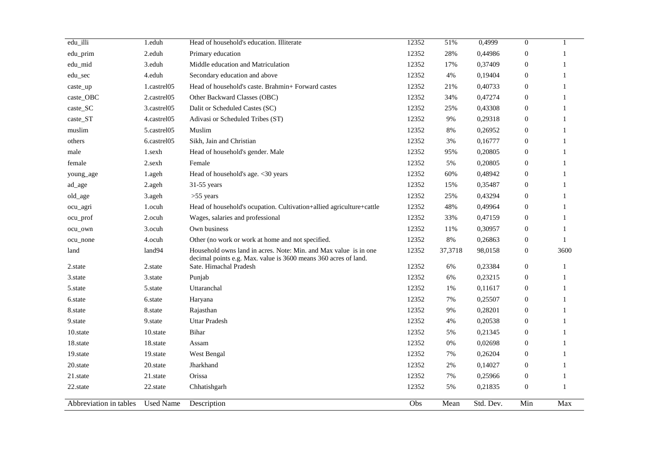| edu_illi               | 1.eduh           | Head of household's education. Illiterate                                                                                           | 12352 | 51%     | 0,4999    | $\boldsymbol{0}$ | $\mathbf{1}$ |
|------------------------|------------------|-------------------------------------------------------------------------------------------------------------------------------------|-------|---------|-----------|------------------|--------------|
| edu_prim               | 2.eduh           | Primary education                                                                                                                   | 12352 | 28%     | 0,44986   | $\boldsymbol{0}$ | $\mathbf{1}$ |
| edu_mid                | 3.eduh           | Middle education and Matriculation                                                                                                  | 12352 | 17%     | 0,37409   | $\boldsymbol{0}$ | $\mathbf{1}$ |
| edu_sec                | 4.eduh           | Secondary education and above                                                                                                       | 12352 | 4%      | 0,19404   | $\boldsymbol{0}$ | $\mathbf{1}$ |
| caste_up               | 1.castrel05      | Head of household's caste. Brahmin+ Forward castes                                                                                  | 12352 | 21%     | 0,40733   | 0                | 1            |
| caste_OBC              | 2.castrel05      | Other Backward Classes (OBC)                                                                                                        | 12352 | 34%     | 0,47274   | 0                | $\mathbf{1}$ |
| caste_SC               | 3.castrel05      | Dalit or Scheduled Castes (SC)                                                                                                      | 12352 | 25%     | 0,43308   | $\boldsymbol{0}$ | $\mathbf{1}$ |
| caste_ST               | 4.castrel05      | Adivasi or Scheduled Tribes (ST)                                                                                                    | 12352 | 9%      | 0,29318   | $\boldsymbol{0}$ | $\mathbf{1}$ |
| muslim                 | 5.castrel05      | Muslim                                                                                                                              | 12352 | $8\%$   | 0,26952   | $\boldsymbol{0}$ | $\mathbf{1}$ |
| others                 | 6.castrel05      | Sikh, Jain and Christian                                                                                                            | 12352 | 3%      | 0,16777   | $\boldsymbol{0}$ | $\mathbf{1}$ |
| male                   | 1.sexh           | Head of household's gender. Male                                                                                                    | 12352 | 95%     | 0,20805   | 0                | 1            |
| female                 | 2.sexh           | Female                                                                                                                              | 12352 | 5%      | 0,20805   | 0                | 1            |
| young_age              | 1.ageh           | Head of household's age. <30 years                                                                                                  | 12352 | 60%     | 0,48942   | 0                | $\mathbf{1}$ |
| ad_age                 | 2.ageh           | 31-55 years                                                                                                                         | 12352 | 15%     | 0,35487   | 0                | $\mathbf{1}$ |
| old_age                | 3.ageh           | $>55$ years                                                                                                                         | 12352 | 25%     | 0,43294   | $\boldsymbol{0}$ | $\mathbf{1}$ |
| ocu_agri               | 1.ocuh           | Head of household's ocupation. Cultivation+allied agriculture+cattle                                                                | 12352 | 48%     | 0,49964   | $\boldsymbol{0}$ | $\mathbf{1}$ |
| ocu_prof               | 2.ocuh           | Wages, salaries and professional                                                                                                    | 12352 | 33%     | 0,47159   | $\boldsymbol{0}$ | $\mathbf{1}$ |
| ocu_own                | 3.ocuh           | Own business                                                                                                                        | 12352 | 11%     | 0,30957   | 0                | $\mathbf{1}$ |
| ocu_none               | 4.ocuh           | Other (no work or work at home and not specified.                                                                                   | 12352 | 8%      | 0,26863   | $\boldsymbol{0}$ | $\mathbf{1}$ |
| land                   | land94           | Household owns land in acres. Note: Min. and Max value is in one<br>decimal points e.g. Max. value is 3600 means 360 acres of land. | 12352 | 37,3718 | 98,0158   | $\boldsymbol{0}$ | 3600         |
| 2.state                | 2.state          | Sate. Himachal Pradesh                                                                                                              | 12352 | $6\%$   | 0,23384   | $\boldsymbol{0}$ | $\mathbf{1}$ |
| 3.state                | 3.state          | Punjab                                                                                                                              | 12352 | $6\%$   | 0,23215   | $\boldsymbol{0}$ | $\mathbf{1}$ |
| 5.state                | 5.state          | Uttaranchal                                                                                                                         | 12352 | 1%      | 0,11617   | $\boldsymbol{0}$ | $\mathbf{1}$ |
| 6.state                | 6.state          | Haryana                                                                                                                             | 12352 | 7%      | 0,25507   | 0                | $\mathbf{1}$ |
| 8.state                | 8.state          | Rajasthan                                                                                                                           | 12352 | 9%      | 0,28201   | $\boldsymbol{0}$ | $\mathbf{1}$ |
| 9.state                | 9.state          | <b>Uttar Pradesh</b>                                                                                                                | 12352 | 4%      | 0,20538   | $\boldsymbol{0}$ | $\mathbf{1}$ |
| 10.state               | 10.state         | Bihar                                                                                                                               | 12352 | 5%      | 0,21345   | $\boldsymbol{0}$ | $\mathbf{1}$ |
| 18.state               | 18.state         | Assam                                                                                                                               | 12352 | 0%      | 0,02698   | 0                | $\mathbf{1}$ |
| 19.state               | 19.state         | West Bengal                                                                                                                         | 12352 | 7%      | 0,26204   | $\boldsymbol{0}$ | $\mathbf{1}$ |
| 20.state               | 20.state         | Jharkhand                                                                                                                           | 12352 | 2%      | 0,14027   | $\boldsymbol{0}$ | $\mathbf{1}$ |
| 21.state               | 21.state         | Orissa                                                                                                                              | 12352 | 7%      | 0,25966   | 0                | 1            |
| 22.state               | 22.state         | Chhatishgarh                                                                                                                        | 12352 | 5%      | 0,21835   | $\boldsymbol{0}$ | $\mathbf{1}$ |
| Abbreviation in tables | <b>Used Name</b> | Description                                                                                                                         | Obs   | Mean    | Std. Dev. | Min              | Max          |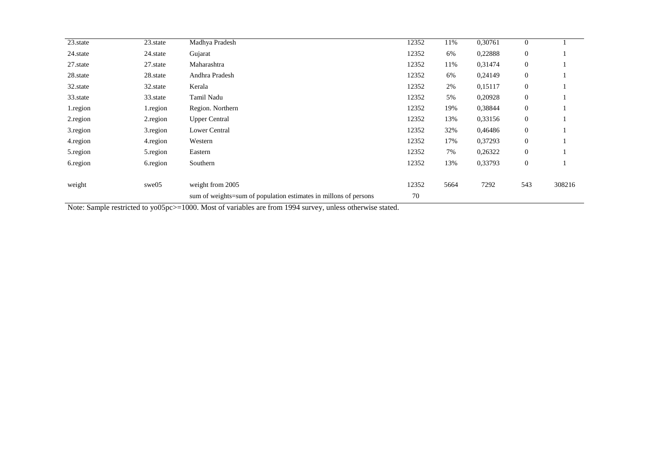| 23.state | Madhya Pradesh                                                   | 12352 | 11%  | 0,30761 | $\mathbf{0}$     |        |
|----------|------------------------------------------------------------------|-------|------|---------|------------------|--------|
| 24.state | Gujarat                                                          | 12352 | 6%   | 0,22888 | $\mathbf{0}$     |        |
| 27.state | Maharashtra                                                      | 12352 | 11%  | 0,31474 | $\mathbf{0}$     |        |
| 28.state | Andhra Pradesh                                                   | 12352 | 6%   | 0,24149 | $\mathbf{0}$     |        |
| 32.state | Kerala                                                           | 12352 | 2%   | 0,15117 | $\mathbf{0}$     |        |
| 33.state | Tamil Nadu                                                       | 12352 | 5%   | 0,20928 | $\boldsymbol{0}$ |        |
| 1.region | Region. Northern                                                 | 12352 | 19%  | 0,38844 | $\boldsymbol{0}$ |        |
| 2.region | <b>Upper Central</b>                                             | 12352 | 13%  | 0,33156 | $\mathbf{0}$     |        |
| 3.region | Lower Central                                                    | 12352 | 32%  | 0,46486 | $\mathbf{0}$     |        |
| 4.region | Western                                                          | 12352 | 17%  | 0,37293 | $\mathbf{0}$     |        |
| 5.region | Eastern                                                          | 12352 | 7%   | 0,26322 | $\mathbf{0}$     |        |
| 6.region | Southern                                                         | 12352 | 13%  | 0,33793 | $\boldsymbol{0}$ |        |
|          |                                                                  |       |      |         |                  |        |
| swe05    | weight from 2005                                                 | 12352 | 5664 | 7292    | 543              | 308216 |
|          | sum of weights=sum of population estimates in millons of persons | 70    |      |         |                  |        |
|          |                                                                  |       |      |         |                  |        |

Note: Sample restricted to yo05pc>=1000. Most of variables are from 1994 survey, unless otherwise stated.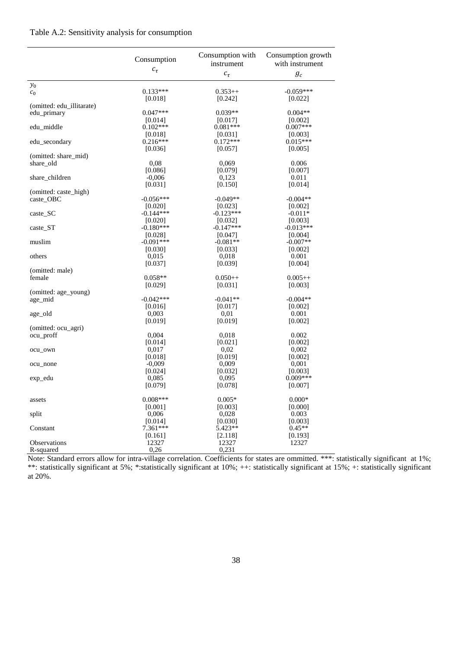#### Table A.2: Sensitivity analysis for consumption

|                           | Consumption | Consumption with<br>instrument | Consumption growth<br>with instrument |
|---------------------------|-------------|--------------------------------|---------------------------------------|
|                           | $c_{\tau}$  | $c_\tau$                       | $g_c$                                 |
| $y_0$                     |             |                                |                                       |
| c <sub>0</sub>            | $0.133***$  | $0.353++$                      | $-0.059***$                           |
| (omitted: edu_illitarate) | [0.018]     | [0.242]                        | [0.022]                               |
| edu_primary               | $0.047***$  | $0.039**$                      | $0.004**$                             |
|                           | [0.014]     | [0.017]                        | [0.002]                               |
| edu_middle                | $0.102***$  | $0.081***$                     | $0.007***$                            |
|                           | [0.018]     | [0.031]                        | [0.003]                               |
| edu_secondary             | $0.216***$  | $0.172***$                     | $0.015***$                            |
|                           | [0.036]     | [0.057]                        | [0.005]                               |
| (omitted: share_mid)      |             |                                |                                       |
| share_old                 | 0,08        | 0,069                          | 0.006                                 |
|                           | [0.086]     | [0.079]                        | [0.007]                               |
| share_children            | $-0,006$    | 0,123                          | 0.011                                 |
|                           | [0.031]     | [0.150]                        | [0.014]                               |
| (omitted: caste_high)     |             |                                |                                       |
| caste_OBC                 | $-0.056***$ | $-0.049**$                     | $-0.004**$                            |
|                           | [0.020]     | [0.023]                        | [0.002]                               |
| caste_SC                  | $-0.144***$ | $-0.123***$                    | $-0.011*$                             |
|                           | [0.020]     | [0.032]                        | [0.003]                               |
| caste_ST                  | $-0.180***$ | $-0.147***$                    | $-0.013***$                           |
|                           | [0.028]     | [0.047]                        | [0.004]                               |
| muslim                    | $-0.091***$ | $-0.081**$                     | $-0.007**$                            |
|                           | [0.030]     | [0.033]                        | [0.002]                               |
| others                    | 0,015       | 0,018                          | 0.001<br>[0.004]                      |
| (omitted: male)           | [0.037]     | [0.039]                        |                                       |
| female                    | $0.058**$   | $0.050++$                      | $0.005++$                             |
|                           | [0.029]     | [0.031]                        | [0.003]                               |
| (omitted: age_young)      |             |                                |                                       |
| age_mid                   | $-0.042***$ | $-0.041**$                     | $-0.004**$                            |
|                           | [0.016]     | [0.017]                        | [0.002]                               |
| age_old                   | 0,003       | 0,01                           | 0.001                                 |
|                           | [0.019]     | [0.019]                        | [0.002]                               |
| (omitted: ocu_agri)       |             |                                |                                       |
| ocu_proff                 | 0,004       | 0,018                          | 0.002                                 |
|                           | [0.014]     | [0.021]                        | [0.002]                               |
| ocu_own                   | 0,017       | 0,02                           | 0,002                                 |
|                           | [0.018]     | [0.019]                        | [0.002]                               |
| ocu_none                  | $-0,009$    | 0,009                          | 0,001                                 |
|                           | [0.024]     | [0.032]                        | [0.003]                               |
| exp_edu                   | 0,085       | 0.095                          | $0.009***$                            |
|                           | [0.079]     | [0.078]                        | [0.007]                               |
| assets                    | $0.008***$  | $0.005*$                       | $0.000*$                              |
|                           | [0.001]     | [0.003]                        | [0.000]                               |
| split                     | 0,006       | 0,028                          | 0.003                                 |
|                           | [0.014]     | [0.030]                        | [0.003]                               |
| Constant                  | 7.361***    | $5.423**$                      | $0.45**$                              |
|                           | [0.161]     | [2.118]                        | [0.193]                               |
| <b>Observations</b>       | 12327       | 12327                          | 12327                                 |
| R-squared                 | 0,26        | 0,231                          |                                       |

Note: Standard errors allow for intra-village correlation. Coefficients for states are ommitted. \*\*\*: statistically significant at 1%; \*\*: statistically significant at 5%; \*:statistically significant at 10%; ++: statistically significant at 15%; +: statistically significant at 20%.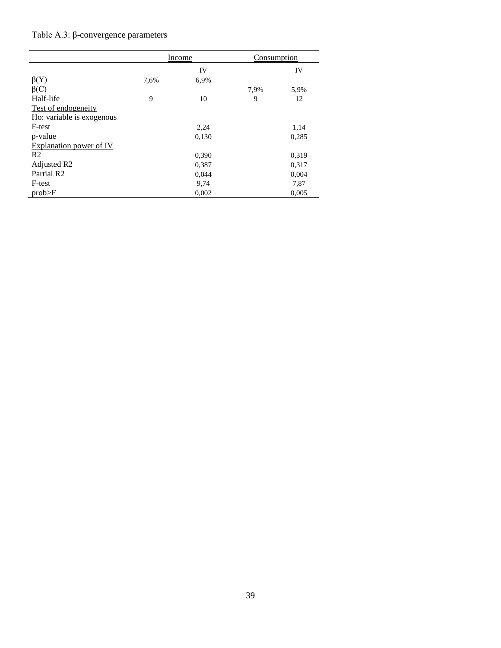# Table A.3: β-convergence parameters

|                           | Income |       | Consumption |       |
|---------------------------|--------|-------|-------------|-------|
|                           |        | IV    |             | IV    |
| $\beta(Y)$                | 7,6%   | 6.9%  |             |       |
| $\beta(C)$                |        |       | 7,9%        | 5,9%  |
| Half-life                 | 9      | 10    | 9           | 12    |
| Test of endogeneity       |        |       |             |       |
| Ho: variable is exogenous |        |       |             |       |
| F-test                    |        | 2,24  |             | 1,14  |
| p-value                   |        | 0,130 |             | 0,285 |
| Explanation power of IV   |        |       |             |       |
| R <sub>2</sub>            |        | 0,390 |             | 0,319 |
| Adjusted R2               |        | 0,387 |             | 0.317 |
| Partial R <sub>2</sub>    |        | 0,044 |             | 0,004 |
| F-test                    |        | 9,74  |             | 7,87  |
| prob>F                    |        | 0,002 |             | 0,005 |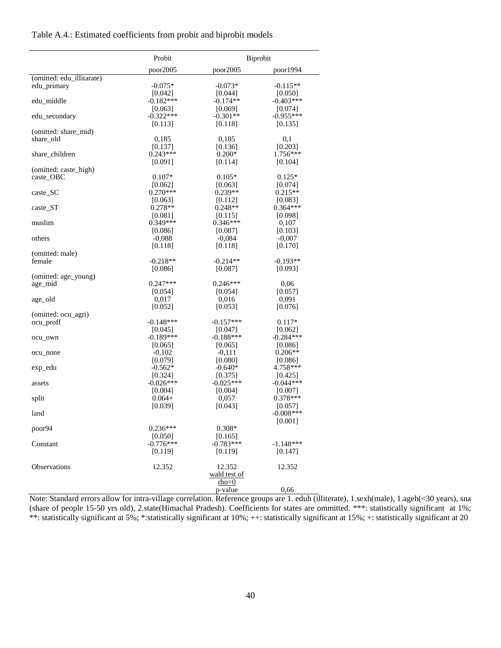#### Table A.4.: Estimated coefficients from probit and biprobit models

|                           | Probit                 |                        | Biprobit              |  |
|---------------------------|------------------------|------------------------|-----------------------|--|
|                           | poor2005               | poor2005               | poor1994              |  |
| (omitted: edu_illitarate) |                        |                        |                       |  |
| edu_primary               | $-0.075*$              | $-0.073*$              | $-0.115**$            |  |
|                           | [0.042]                | [0.044]                | [0.050]               |  |
| edu_middle                | $-0.182***$            | $-0.174**$             | $-0.403***$           |  |
|                           | [0.063]                | [0.069]                | [0.074]               |  |
| edu_secondary             | $-0.322***$            | $-0.301**$             | $-0.955***$           |  |
|                           | [0.113]                | [0.118]                | [0.135]               |  |
| (omitted: share_mid)      |                        |                        |                       |  |
| share old                 | 0,185                  | 0,185<br>[0.136]       | 0,1                   |  |
| share_children            | [0.137]<br>$0.243***$  | $0.200*$               | [0.203]<br>$1.756***$ |  |
|                           | [0.091]                | [0.114]                | [0.104]               |  |
| (omitted: caste_high)     |                        |                        |                       |  |
| caste OBC                 | $0.107*$               | $0.105*$               | $0.125*$              |  |
|                           | [0.062]                | [0.063]                | [0.074]               |  |
| $\caste\_SC$              | $0.270***$             | $0.239**$              | $0.215**$             |  |
|                           | [0.063]                | [0.112]                | [0.083]               |  |
| caste ST                  | $0.278**$              | $0.248**$              | $0.364***$            |  |
|                           | [0.081]                | [0.115]                | [0.098]               |  |
| muslim                    | $0.349***$             | $0.346***$             | 0,107                 |  |
|                           | [0.086]                | [0.087]                | [0.103]               |  |
| others                    | $-0,088$               | $-0,084$               | $-0,007$              |  |
|                           | [0.118]                | [0.118]                | [0.170]               |  |
| (omitted: male)           |                        |                        |                       |  |
| female                    | $-0.218**$             | $-0.214**$             | $-0.193**$            |  |
|                           | [0.086]                | [0.087]                | [0.093]               |  |
| (omitted: age_young)      |                        |                        |                       |  |
| age_mid                   | $0.247***$             | $0.246***$             | 0,06                  |  |
|                           | [0.054]                | [0.054]                | [0.057]               |  |
| age_old                   | 0,017<br>[0.052]       | 0,016<br>[0.053]       | 0,091<br>[0.076]      |  |
| (omitted: ocu_agri)       |                        |                        |                       |  |
| ocu_proff                 | $-0.148***$            | $-0.157***$            | $0.117*$              |  |
|                           | [0.045]                | [0.047]                | [0.062]               |  |
| ocu_own                   | $-0.189***$            | $-0.188***$            | $-0.284***$           |  |
|                           | [0.065]                | [0.065]                | [0.086]               |  |
| ocu_none                  | $-0,102$               | $-0,111$               | $0.206**$             |  |
|                           | [0.079]                | [0.080]                | [0.086]               |  |
| exp_edu                   | $-0.562*$              | $-0.640*$              | 4.758***              |  |
|                           | [0.324]                | [0.375]                | [0.425]               |  |
| assets                    | $-0.026***$            | $-0.025***$            | $-0.044***$           |  |
|                           | [0.004]                | [0.004]                | [0.007]               |  |
| split                     | $0.064+$               | 0,057                  | $0.378***$            |  |
|                           | [0.039]                | [0.043]                | [0.057]               |  |
| land                      |                        |                        | $-0.008***$           |  |
|                           |                        |                        | [0.001]               |  |
| poor94                    | $0.236***$             | $0.308*$               |                       |  |
| Constant                  | [0.050]<br>$-0.776***$ | [0.165]<br>$-0.783***$ | $-1.148***$           |  |
|                           | [0.119]                | [0.119]                |                       |  |
|                           |                        |                        | [0.147]               |  |
| Observations              | 12.352                 | 12.352                 | 12.352                |  |
|                           |                        | wald test of           |                       |  |
|                           |                        | rho=0                  |                       |  |
|                           |                        | p-value                | 0,66                  |  |

Note: Standard errors allow for intra-village correlation. Reference groups are 1. eduh (illiterate), 1.sexh(male), 1.ageh(<30 years), sna (share of people 15-50 yrs old), 2.state(Himachal Pradesh). Coefficients for states are ommitted. \*\*\*: statistically significant at 1%; \*\*: statistically significant at 5%; \*: statistically significant at 10%; ++: statistically significant at 15%; +: statistically significant at 20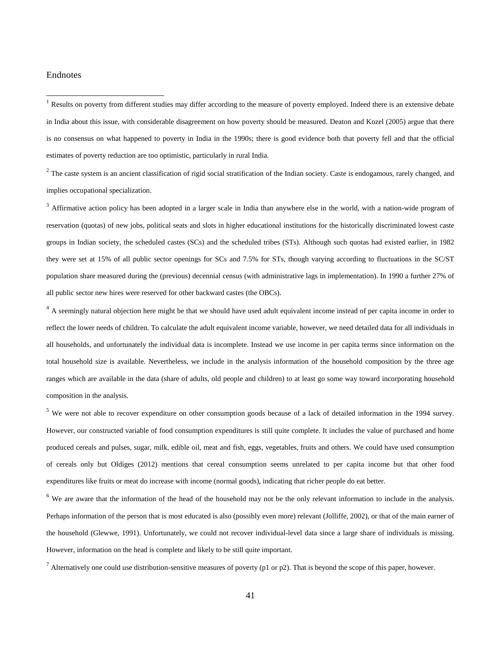#### Endnotes

<span id="page-42-0"></span><sup>1</sup> Results on poverty from different studies may differ according to the measure of poverty employed. Indeed there is an extensive debate in India about this issue, with considerable disagreement on how poverty should be measured. Deaton and Kozel (2005) argue that there is no consensus on what happened to poverty in India in the 1990s; there is good evidence both that poverty fell and that the official estimates of poverty reduction are too optimistic, particularly in rural India.

<span id="page-42-1"></span> $2$  The caste system is an ancient classification of rigid social stratification of the Indian society. Caste is endogamous, rarely changed, and implies occupational specialization.

<span id="page-42-2"></span><sup>3</sup> Affirmative action policy has been adopted in a larger scale in India than anywhere else in the world, with a nation-wide program of reservation (quotas) of new jobs, political seats and slots in higher educational institutions for the historically discriminated lowest caste groups in Indian society, the scheduled castes (SCs) and the scheduled tribes (STs). Although such quotas had existed earlier, in 1982 they were set at 15% of all public sector openings for SCs and 7.5% for STs, though varying according to fluctuations in the SC/ST population share measured during the (previous) decennial census (with administrative lags in implementation). In 1990 a further 27% of all public sector new hires were reserved for other backward castes (the OBCs).

<span id="page-42-3"></span><sup>4</sup> A seemingly natural objection here might be that we should have used adult equivalent income instead of per capita income in order to reflect the lower needs of children. To calculate the adult equivalent income variable, however, we need detailed data for all individuals in all households, and unfortunately the individual data is incomplete. Instead we use income in per capita terms since information on the total household size is available. Nevertheless, we include in the analysis information of the household composition by the three age ranges which are available in the data (share of adults, old people and children) to at least go some way toward incorporating household composition in the analysis.

<span id="page-42-4"></span><sup>5</sup> We were not able to recover expenditure on other consumption goods because of a lack of detailed information in the 1994 survey. However, our constructed variable of food consumption expenditures is still quite complete. It includes the value of purchased and home produced cereals and pulses, sugar, milk, edible oil, meat and fish, eggs, vegetables, fruits and others. We could have used consumption of cereals only but Oldiges (2012) mentions that cereal consumption seems unrelated to per capita income but that other food expenditures like fruits or meat do increase with income (normal goods), indicating that richer people do eat better.

<span id="page-42-5"></span><sup>6</sup> We are aware that the information of the head of the household may not be the only relevant information to include in the analysis. Perhaps information of the person that is most educated is also (possibly even more) relevant (Jolliffe, 2002), or that of the main earner of the household (Glewwe, 1991). Unfortunately, we could not recover individual-level data since a large share of individuals is missing. However, information on the head is complete and likely to be still quite important.

<span id="page-42-6"></span> $^7$  Alternatively one could use distribution-sensitive measures of poverty (p1 or p2). That is beyond the scope of this paper, however.